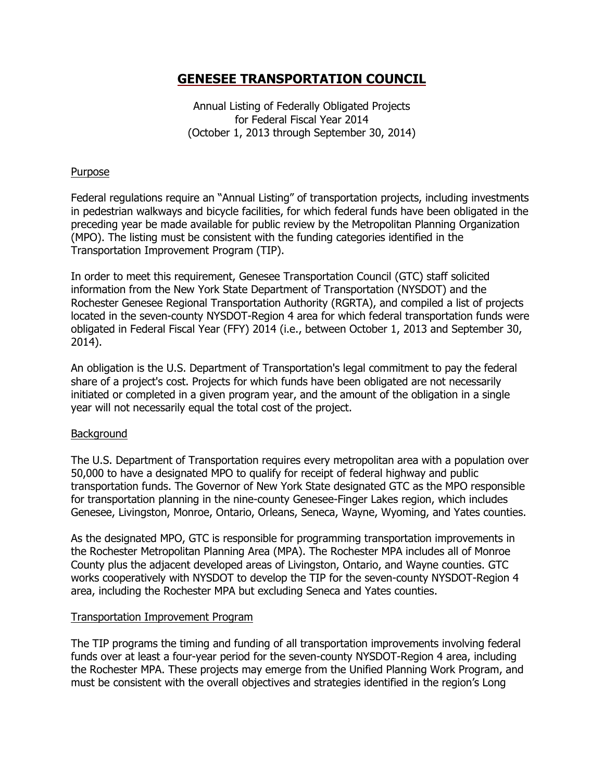Annual Listing of Federally Obligated Projects for Federal Fiscal Year 2014 (October 1, 2013 through September 30, 2014)

## **Purpose**

Federal regulations require an "Annual Listing" of transportation projects, including investments in pedestrian walkways and bicycle facilities, for which federal funds have been obligated in the preceding year be made available for public review by the Metropolitan Planning Organization (MPO). The listing must be consistent with the funding categories identified in the Transportation Improvement Program (TIP).

In order to meet this requirement, Genesee Transportation Council (GTC) staff solicited information from the New York State Department of Transportation (NYSDOT) and the Rochester Genesee Regional Transportation Authority (RGRTA), and compiled a list of projects located in the seven-county NYSDOT-Region 4 area for which federal transportation funds were obligated in Federal Fiscal Year (FFY) 2014 (i.e., between October 1, 2013 and September 30, 2014).

An obligation is the U.S. Department of Transportation's legal commitment to pay the federal share of a project's cost. Projects for which funds have been obligated are not necessarily initiated or completed in a given program year, and the amount of the obligation in a single year will not necessarily equal the total cost of the project.

## **Background**

The U.S. Department of Transportation requires every metropolitan area with a population over 50,000 to have a designated MPO to qualify for receipt of federal highway and public transportation funds. The Governor of New York State designated GTC as the MPO responsible for transportation planning in the nine-county Genesee-Finger Lakes region, which includes Genesee, Livingston, Monroe, Ontario, Orleans, Seneca, Wayne, Wyoming, and Yates counties.

As the designated MPO, GTC is responsible for programming transportation improvements in the Rochester Metropolitan Planning Area (MPA). The Rochester MPA includes all of Monroe County plus the adjacent developed areas of Livingston, Ontario, and Wayne counties. GTC works cooperatively with NYSDOT to develop the TIP for the seven-county NYSDOT-Region 4 area, including the Rochester MPA but excluding Seneca and Yates counties.

## Transportation Improvement Program

The TIP programs the timing and funding of all transportation improvements involving federal funds over at least a four-year period for the seven-county NYSDOT-Region 4 area, including the Rochester MPA. These projects may emerge from the Unified Planning Work Program, and must be consistent with the overall objectives and strategies identified in the region's Long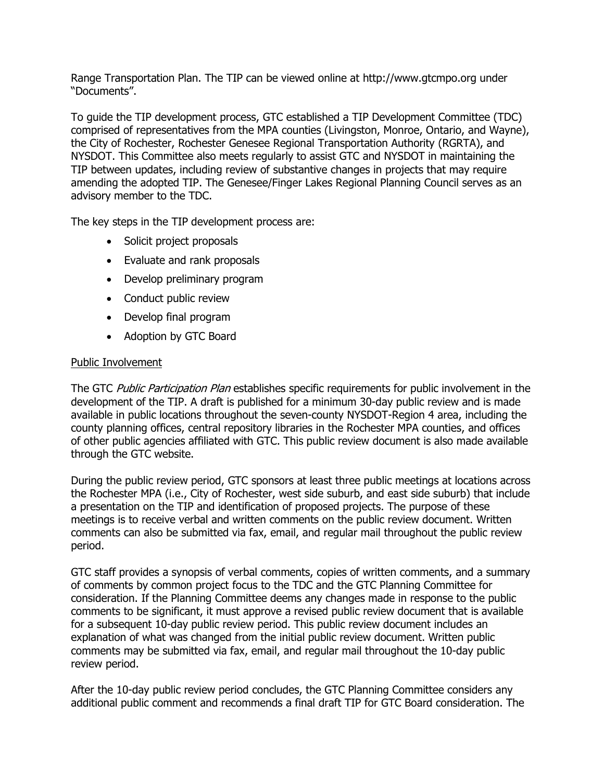Range Transportation Plan. The TIP can be viewed online at http://www.gtcmpo.org under "Documents".

To guide the TIP development process, GTC established a TIP Development Committee (TDC) comprised of representatives from the MPA counties (Livingston, Monroe, Ontario, and Wayne), the City of Rochester, Rochester Genesee Regional Transportation Authority (RGRTA), and NYSDOT. This Committee also meets regularly to assist GTC and NYSDOT in maintaining the TIP between updates, including review of substantive changes in projects that may require amending the adopted TIP. The Genesee/Finger Lakes Regional Planning Council serves as an advisory member to the TDC.

The key steps in the TIP development process are:

- Solicit project proposals
- Evaluate and rank proposals
- Develop preliminary program
- Conduct public review
- Develop final program
- Adoption by GTC Board

## Public Involvement

The GTC Public Participation Plan establishes specific requirements for public involvement in the development of the TIP. A draft is published for a minimum 30-day public review and is made available in public locations throughout the seven-county NYSDOT-Region 4 area, including the county planning offices, central repository libraries in the Rochester MPA counties, and offices of other public agencies affiliated with GTC. This public review document is also made available through the GTC website.

During the public review period, GTC sponsors at least three public meetings at locations across the Rochester MPA (i.e., City of Rochester, west side suburb, and east side suburb) that include a presentation on the TIP and identification of proposed projects. The purpose of these meetings is to receive verbal and written comments on the public review document. Written comments can also be submitted via fax, email, and regular mail throughout the public review period.

GTC staff provides a synopsis of verbal comments, copies of written comments, and a summary of comments by common project focus to the TDC and the GTC Planning Committee for consideration. If the Planning Committee deems any changes made in response to the public comments to be significant, it must approve a revised public review document that is available for a subsequent 10-day public review period. This public review document includes an explanation of what was changed from the initial public review document. Written public comments may be submitted via fax, email, and regular mail throughout the 10-day public review period.

After the 10-day public review period concludes, the GTC Planning Committee considers any additional public comment and recommends a final draft TIP for GTC Board consideration. The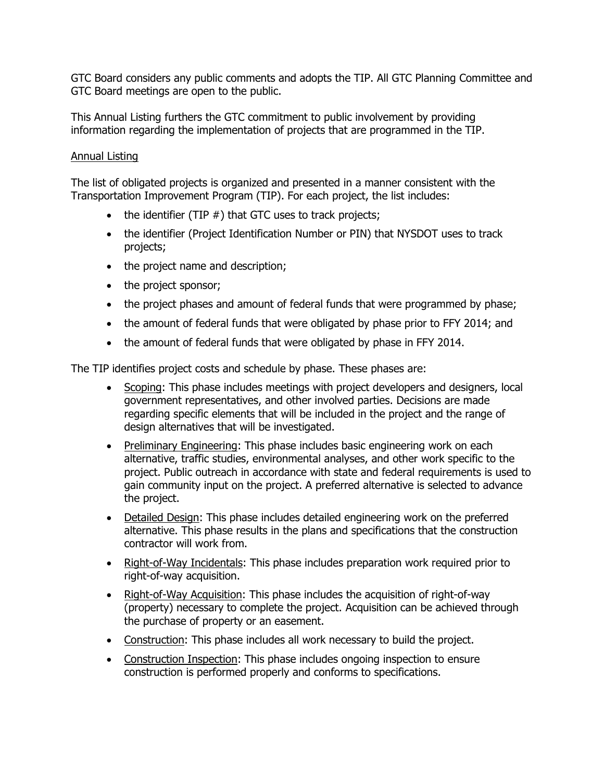GTC Board considers any public comments and adopts the TIP. All GTC Planning Committee and GTC Board meetings are open to the public.

This Annual Listing furthers the GTC commitment to public involvement by providing information regarding the implementation of projects that are programmed in the TIP.

## Annual Listing

The list of obligated projects is organized and presented in a manner consistent with the Transportation Improvement Program (TIP). For each project, the list includes:

- $\bullet$  the identifier (TIP  $#$ ) that GTC uses to track projects;
- the identifier (Project Identification Number or PIN) that NYSDOT uses to track projects;
- the project name and description;
- the project sponsor;
- the project phases and amount of federal funds that were programmed by phase;
- the amount of federal funds that were obligated by phase prior to FFY 2014; and
- the amount of federal funds that were obligated by phase in FFY 2014.

The TIP identifies project costs and schedule by phase. These phases are:

- Scoping: This phase includes meetings with project developers and designers, local government representatives, and other involved parties. Decisions are made regarding specific elements that will be included in the project and the range of design alternatives that will be investigated.
- Preliminary Engineering: This phase includes basic engineering work on each alternative, traffic studies, environmental analyses, and other work specific to the project. Public outreach in accordance with state and federal requirements is used to gain community input on the project. A preferred alternative is selected to advance the project.
- Detailed Design: This phase includes detailed engineering work on the preferred alternative. This phase results in the plans and specifications that the construction contractor will work from.
- Right-of-Way Incidentals: This phase includes preparation work required prior to right-of-way acquisition.
- Right-of-Way Acquisition: This phase includes the acquisition of right-of-way (property) necessary to complete the project. Acquisition can be achieved through the purchase of property or an easement.
- Construction: This phase includes all work necessary to build the project.
- Construction Inspection: This phase includes ongoing inspection to ensure construction is performed properly and conforms to specifications.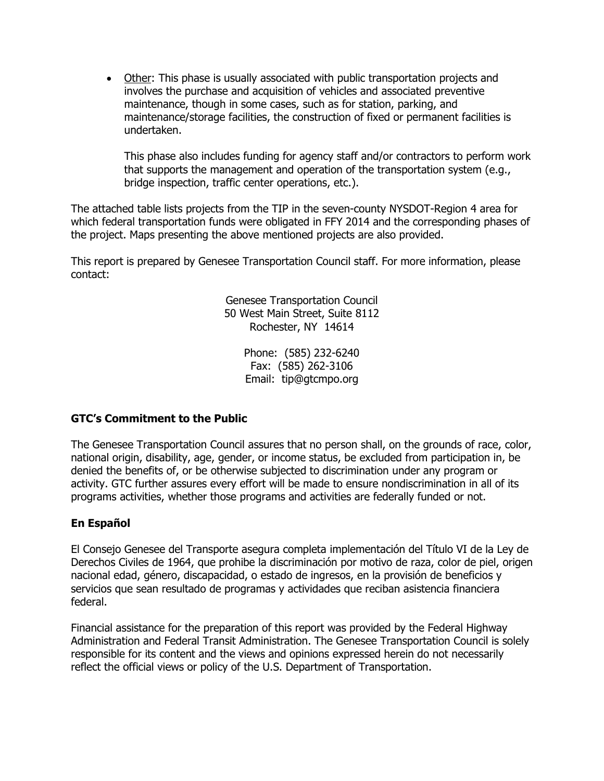Other: This phase is usually associated with public transportation projects and involves the purchase and acquisition of vehicles and associated preventive maintenance, though in some cases, such as for station, parking, and maintenance/storage facilities, the construction of fixed or permanent facilities is undertaken.

This phase also includes funding for agency staff and/or contractors to perform work that supports the management and operation of the transportation system (e.g., bridge inspection, traffic center operations, etc.).

The attached table lists projects from the TIP in the seven-county NYSDOT-Region 4 area for which federal transportation funds were obligated in FFY 2014 and the corresponding phases of the project. Maps presenting the above mentioned projects are also provided.

This report is prepared by Genesee Transportation Council staff. For more information, please contact:

> Genesee Transportation Council 50 West Main Street, Suite 8112 Rochester, NY 14614

> > Phone: (585) 232-6240 Fax: (585) 262-3106 Email: tip@gtcmpo.org

## **GTC's Commitment to the Public**

The Genesee Transportation Council assures that no person shall, on the grounds of race, color, national origin, disability, age, gender, or income status, be excluded from participation in, be denied the benefits of, or be otherwise subjected to discrimination under any program or activity. GTC further assures every effort will be made to ensure nondiscrimination in all of its programs activities, whether those programs and activities are federally funded or not.

## **En Español**

El Consejo Genesee del Transporte asegura completa implementación del Título VI de la Ley de Derechos Civiles de 1964, que prohibe la discriminación por motivo de raza, color de piel, origen nacional edad, género, discapacidad, o estado de ingresos, en la provisión de beneficios y servicios que sean resultado de programas y actividades que reciban asistencia financiera federal.

Financial assistance for the preparation of this report was provided by the Federal Highway Administration and Federal Transit Administration. The Genesee Transportation Council is solely responsible for its content and the views and opinions expressed herein do not necessarily reflect the official views or policy of the U.S. Department of Transportation.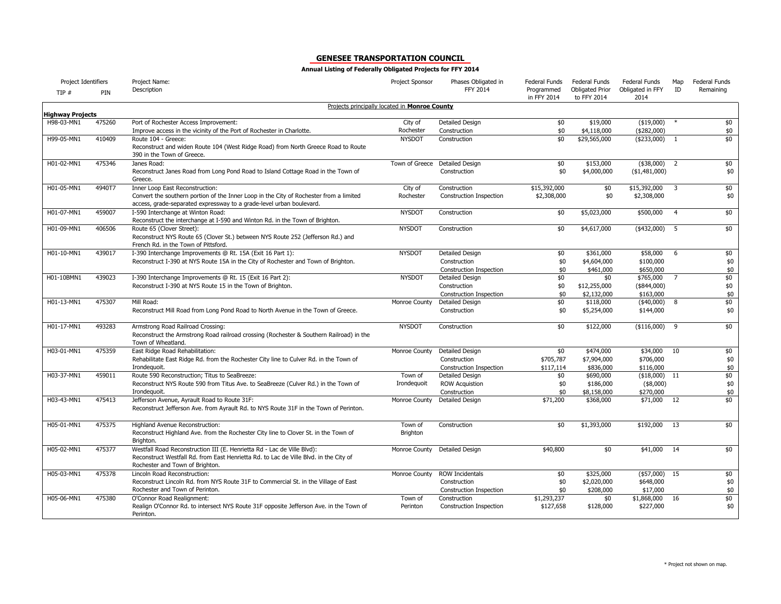| Project Identifiers     |        | Project Name:                                                                                                                                                                                       | Project Sponsor                               | Phases Obligated in            | Federal Funds             | Federal Funds                         | Federal Funds            | Map            | Federal Funds |
|-------------------------|--------|-----------------------------------------------------------------------------------------------------------------------------------------------------------------------------------------------------|-----------------------------------------------|--------------------------------|---------------------------|---------------------------------------|--------------------------|----------------|---------------|
| TIP#                    | PIN    | Description                                                                                                                                                                                         |                                               | FFY 2014                       | Programmed<br>in FFY 2014 | <b>Obligated Prior</b><br>to FFY 2014 | Obligated in FFY<br>2014 | ID             | Remaining     |
| <b>Highway Projects</b> |        |                                                                                                                                                                                                     | Projects principally located in Monroe County |                                |                           |                                       |                          |                |               |
| H98-03-MN1              | 475260 | Port of Rochester Access Improvement:                                                                                                                                                               | City of                                       | Detailed Design                | \$0                       | \$19,000                              | (\$19,000)               |                | \$0           |
|                         |        | Improve access in the vicinity of the Port of Rochester in Charlotte.                                                                                                                               | Rochester                                     | Construction                   | \$0                       | \$4,118,000                           | $(*282,000)$             |                | \$0           |
| H99-05-MN1              | 410409 | Route 104 - Greece:                                                                                                                                                                                 | <b>NYSDOT</b>                                 | Construction                   | \$0                       | \$29,565,000                          | ( \$233,000)             | $\overline{1}$ | \$0           |
|                         |        | Reconstruct and widen Route 104 (West Ridge Road) from North Greece Road to Route<br>390 in the Town of Greece.                                                                                     |                                               |                                |                           |                                       |                          |                |               |
| H01-02-MN1              | 475346 | Janes Road:                                                                                                                                                                                         | Town of Greece                                | Detailed Design                | \$0                       | \$153,000                             | $(*38,000)$              | $\overline{2}$ | \$0           |
|                         |        | Reconstruct Janes Road from Long Pond Road to Island Cottage Road in the Town of<br>Greece.                                                                                                         |                                               | Construction                   | \$0                       | \$4,000,000                           | ( \$1,481,000)           |                | \$0           |
| H01-05-MN1              | 4940T7 | Inner Loop East Reconstruction:                                                                                                                                                                     | City of                                       | Construction                   | \$15,392,000              | \$0                                   | \$15,392,000             | 3              | \$0           |
|                         |        | Convert the southern portion of the Inner Loop in the City of Rochester from a limited<br>access, grade-separated expressway to a grade-level urban boulevard.                                      | Rochester                                     | <b>Construction Inspection</b> | \$2,308,000               | \$0                                   | \$2,308,000              |                | \$0           |
| H01-07-MN1              | 459007 | I-590 Interchange at Winton Road:                                                                                                                                                                   | <b>NYSDOT</b>                                 | Construction                   | \$0                       | \$5,023,000                           | \$500,000                | $\overline{4}$ | \$0           |
|                         |        | Reconstruct the interchange at I-590 and Winton Rd. in the Town of Brighton.                                                                                                                        |                                               |                                |                           |                                       |                          |                |               |
| H01-09-MN1              | 406506 | Route 65 (Clover Street):<br>Reconstruct NYS Route 65 (Clover St.) between NYS Route 252 (Jefferson Rd.) and<br>French Rd. in the Town of Pittsford.                                                | <b>NYSDOT</b>                                 | Construction                   | \$0                       | \$4,617,000                           | $(*432,000)$             | - 5            | \$0           |
| H01-10-MN1              | 439017 | I-390 Interchange Improvements @ Rt. 15A (Exit 16 Part 1):                                                                                                                                          | <b>NYSDOT</b>                                 | Detailed Design                | \$0                       | \$361,000                             | \$58,000                 | 6              | \$0           |
|                         |        | Reconstruct I-390 at NYS Route 15A in the City of Rochester and Town of Brighton.                                                                                                                   |                                               | Construction                   | \$0                       | \$4,604,000                           | \$100,000                |                | \$0           |
|                         |        |                                                                                                                                                                                                     |                                               | <b>Construction Inspection</b> | \$0                       | \$461,000                             | \$650,000                |                | \$0           |
| H01-10BMN1              | 439023 | I-390 Interchange Improvements @ Rt. 15 (Exit 16 Part 2):                                                                                                                                           | <b>NYSDOT</b>                                 | Detailed Design                | \$0                       | \$0                                   | \$765,000                | 7              | \$0           |
|                         |        | Reconstruct I-390 at NYS Route 15 in the Town of Brighton.                                                                                                                                          |                                               | Construction                   | \$0                       | \$12,255,000                          | (\$844,000)              |                | \$0           |
|                         |        |                                                                                                                                                                                                     |                                               | Construction Inspection        | \$0                       | \$2,132,000                           | \$163,000                |                | \$0           |
| H01-13-MN1              | 475307 | Mill Road:                                                                                                                                                                                          | Monroe County                                 | Detailed Design                | \$0                       | \$118,000                             | $(*40,000)$              | 8              | \$0           |
|                         |        | Reconstruct Mill Road from Long Pond Road to North Avenue in the Town of Greece.                                                                                                                    |                                               | Construction                   | \$0                       | \$5,254,000                           | \$144,000                |                | \$0           |
| H01-17-MN1              | 493283 | Armstrong Road Railroad Crossing:                                                                                                                                                                   | <b>NYSDOT</b>                                 | Construction                   | \$0                       | \$122,000                             | $($116,000)$ 9           |                | \$0           |
|                         |        | Reconstruct the Armstrong Road railroad crossing (Rochester & Southern Railroad) in the<br>Town of Wheatland.                                                                                       |                                               |                                |                           |                                       |                          |                |               |
| H03-01-MN1              | 475359 | East Ridge Road Rehabilitation:                                                                                                                                                                     | Monroe County                                 | <b>Detailed Design</b>         | \$0                       | \$474,000                             | \$34,000                 | 10             | \$0           |
|                         |        | Rehabilitate East Ridge Rd. from the Rochester City line to Culver Rd. in the Town of                                                                                                               |                                               | Construction                   | \$705,787                 | \$7,904,000                           | \$706,000                |                | \$0           |
|                         |        | Irondequoit.                                                                                                                                                                                        |                                               | <b>Construction Inspection</b> | \$117,114                 | \$836,000                             | \$116,000                |                | $$0$          |
| H03-37-MN1              | 459011 | Route 590 Reconstruction; Titus to SeaBreeze:                                                                                                                                                       | Town of                                       | Detailed Design                | \$0                       | \$690,000                             | (\$18,000)               | 11             | \$0           |
|                         |        | Reconstruct NYS Route 590 from Titus Ave. to SeaBreeze (Culver Rd.) in the Town of                                                                                                                  | Irondequoit                                   | <b>ROW Acquistion</b>          | \$0                       | \$186,000                             | $(*8,000)$               |                | \$0           |
|                         |        | Irondequoit.                                                                                                                                                                                        |                                               | Construction                   | \$0                       | \$8,158,000                           | \$270,000                |                | \$0           |
| H03-43-MN1              | 475413 | Jefferson Avenue, Ayrault Road to Route 31F:<br>Reconstruct Jefferson Ave. from Ayrault Rd. to NYS Route 31F in the Town of Perinton.                                                               | Monroe County                                 | <b>Detailed Design</b>         | \$71,200                  | \$368,000                             | \$71,000                 | 12             | \$0           |
| H05-01-MN1              | 475375 | Highland Avenue Reconstruction:                                                                                                                                                                     | Town of                                       | Construction                   | \$0                       | \$1,393,000                           | \$192,000                | 13             | \$0           |
|                         |        | Reconstruct Highland Ave. from the Rochester City line to Clover St. in the Town of                                                                                                                 | Brighton                                      |                                |                           |                                       |                          |                |               |
|                         |        | Brighton.                                                                                                                                                                                           |                                               |                                |                           |                                       |                          |                |               |
| H05-02-MN1              | 475377 | Westfall Road Reconstruction III (E. Henrietta Rd - Lac de Ville Blvd):<br>Reconstruct Westfall Rd. from East Henrietta Rd. to Lac de Ville Blvd. in the City of<br>Rochester and Town of Brighton. | Monroe County                                 | <b>Detailed Design</b>         | \$40,800                  | \$0                                   | \$41,000                 | 14             | \$0           |
| H05-03-MN1              | 475378 | Lincoln Road Reconstruction:                                                                                                                                                                        | Monroe County                                 | ROW Incidentals                | \$0                       | \$325,000                             | $($57,000)$ 15           |                | $\frac{1}{2}$ |
|                         |        | Reconstruct Lincoln Rd. from NYS Route 31F to Commercial St. in the Village of East                                                                                                                 |                                               | Construction                   | \$0                       | \$2,020,000                           | \$648,000                |                | \$0           |
|                         |        | Rochester and Town of Perinton.                                                                                                                                                                     |                                               | Construction Inspection        | \$0                       | \$208,000                             | \$17,000                 |                | $$0$$         |
| H05-06-MN1              | 475380 | O'Connor Road Realignment:                                                                                                                                                                          | Town of                                       | Construction                   | \$1,293,237               | \$0                                   | \$1,868,000              | 16             | \$0           |
|                         |        | Realign O'Connor Rd. to intersect NYS Route 31F opposite Jefferson Ave. in the Town of<br>Perinton.                                                                                                 | Perinton                                      | Construction Inspection        | \$127,658                 | \$128,000                             | \$227,000                |                | \$0           |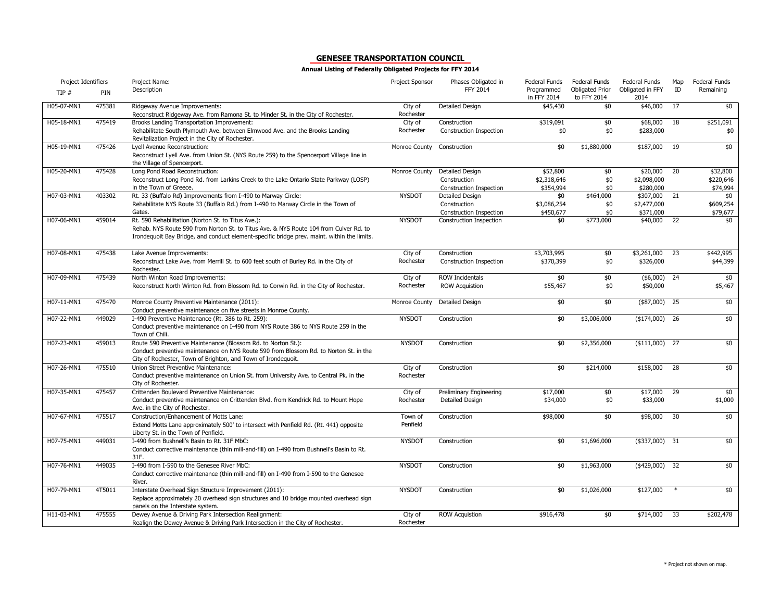| Project Identifiers |        | Project Name:                                                                                                                                                                                                                              | Project Sponsor      | Phases Obligated in                                               | Federal Funds                        | <b>Federal Funds</b>                  | Federal Funds                         | Map | Federal Funds                     |
|---------------------|--------|--------------------------------------------------------------------------------------------------------------------------------------------------------------------------------------------------------------------------------------------|----------------------|-------------------------------------------------------------------|--------------------------------------|---------------------------------------|---------------------------------------|-----|-----------------------------------|
| TIP #               | PIN    | Description                                                                                                                                                                                                                                |                      | <b>FFY 2014</b>                                                   | Programmed<br>in FFY 2014            | <b>Obligated Prior</b><br>to FFY 2014 | Obligated in FFY<br>2014              | ID  | Remaining                         |
| H05-07-MN1          | 475381 | Ridgeway Avenue Improvements:<br>Reconstruct Ridgeway Ave. from Ramona St. to Minder St. in the City of Rochester.                                                                                                                         | City of<br>Rochester | <b>Detailed Design</b>                                            | \$45,430                             | \$0                                   | \$46,000                              | 17  | \$0                               |
| H05-18-MN1          | 475419 | Brooks Landing Transportation Improvement:<br>Rehabilitate South Plymouth Ave. between Elmwood Ave. and the Brooks Landing<br>Revitalization Project in the City of Rochester.                                                             | City of<br>Rochester | Construction<br><b>Construction Inspection</b>                    | \$319,091<br>\$0                     | \$0<br>\$0                            | \$68,000<br>\$283,000                 | 18  | \$251,091<br>\$0                  |
| H05-19-MN1          | 475426 | Lyell Avenue Reconstruction:<br>Reconstruct Lyell Ave. from Union St. (NYS Route 259) to the Spencerport Village line in<br>the Village of Spencerport.                                                                                    | Monroe County        | Construction                                                      | \$0                                  | \$1,880,000                           | \$187,000                             | 19  | \$0                               |
| H05-20-MN1          | 475428 | Long Pond Road Reconstruction:<br>Reconstruct Long Pond Rd. from Larkins Creek to the Lake Ontario State Parkway (LOSP)<br>in the Town of Greece.                                                                                          | Monroe County        | Detailed Design<br>Construction<br><b>Construction Inspection</b> | \$52,800<br>\$2,318,646<br>\$354,994 | \$0<br>\$0<br>\$0                     | \$20,000<br>\$2,098,000<br>\$280,000  | 20  | \$32,800<br>\$220,646<br>\$74,994 |
| H07-03-MN1          | 403302 | Rt. 33 (Buffalo Rd) Improvements from I-490 to Marway Circle:<br>Rehabilitate NYS Route 33 (Buffalo Rd.) from I-490 to Marway Circle in the Town of<br>Gates.                                                                              | <b>NYSDOT</b>        | Detailed Design<br>Construction<br><b>Construction Inspection</b> | \$0<br>\$3,086,254<br>\$450,677      | \$464,000<br>\$0<br>\$0               | \$307,000<br>\$2,477,000<br>\$371,000 | 21  | \$0<br>\$609,254<br>\$79,677      |
| H07-06-MN1          | 459014 | Rt. 590 Rehabilitation (Norton St. to Titus Ave.):<br>Rehab. NYS Route 590 from Norton St. to Titus Ave. & NYS Route 104 from Culver Rd. to<br>Irondequoit Bay Bridge, and conduct element-specific bridge prev. maint. within the limits. | <b>NYSDOT</b>        | Construction Inspection                                           | \$0                                  | \$773,000                             | \$40,000                              | 22  | \$0                               |
| H07-08-MN1          | 475438 | Lake Avenue Improvements:<br>Reconstruct Lake Ave. from Merrill St. to 600 feet south of Burley Rd. in the City of<br>Rochester.                                                                                                           | City of<br>Rochester | Construction<br>Construction Inspection                           | \$3,703,995<br>\$370,399             | \$0<br>\$0                            | \$3,261,000<br>\$326,000              | 23  | \$442,995<br>\$44,399             |
| H07-09-MN1          | 475439 | North Winton Road Improvements:<br>Reconstruct North Winton Rd. from Blossom Rd. to Corwin Rd. in the City of Rochester.                                                                                                                   | City of<br>Rochester | <b>ROW Incidentals</b><br><b>ROW Acquistion</b>                   | \$0<br>\$55,467                      | \$0<br>\$0                            | (\$6,000)<br>\$50,000                 | 24  | \$0<br>\$5,467                    |
| $H07-11-MN1$        | 475470 | Monroe County Preventive Maintenance (2011):<br>Conduct preventive maintenance on five streets in Monroe County.                                                                                                                           | Monroe County        | <b>Detailed Design</b>                                            | \$0                                  | \$0                                   | (\$87,000)                            | 25  | \$0                               |
| H07-22-MN1          | 449029 | I-490 Preventive Maintenance (Rt. 386 to Rt. 259):<br>Conduct preventive maintenance on I-490 from NYS Route 386 to NYS Route 259 in the<br>Town of Chili.                                                                                 | <b>NYSDOT</b>        | Construction                                                      | \$0                                  | \$3,006,000                           | $($174,000)$ 26                       |     | \$0                               |
| H07-23-MN1          | 459013 | Route 590 Preventive Maintenance (Blossom Rd. to Norton St.):<br>Conduct preventive maintenance on NYS Route 590 from Blossom Rd. to Norton St. in the<br>City of Rochester, Town of Brighton, and Town of Irondequoit.                    | <b>NYSDOT</b>        | Construction                                                      | \$0                                  | \$2,356,000                           | $($111,000)$ 27                       |     | \$0                               |
| H07-26-MN1          | 475510 | Union Street Preventive Maintenance:<br>Conduct preventive maintenance on Union St. from University Ave. to Central Pk. in the<br>City of Rochester.                                                                                       | City of<br>Rochester | Construction                                                      | \$0                                  | \$214,000                             | \$158,000                             | 28  | \$0                               |
| H07-35-MN1          | 475457 | Crittenden Boulevard Preventive Maintenance:<br>Conduct preventive maintenance on Crittenden Blvd. from Kendrick Rd. to Mount Hope<br>Ave. in the City of Rochester.                                                                       | City of<br>Rochester | Preliminary Engineering<br>Detailed Design                        | \$17,000<br>\$34,000                 | \$0<br>\$0                            | \$17,000<br>\$33,000                  | 29  | \$0<br>\$1,000                    |
| H07-67-MN1          | 475517 | Construction/Enhancement of Motts Lane:<br>Extend Motts Lane approximately 500' to intersect with Penfield Rd. (Rt. 441) opposite<br>Liberty St. in the Town of Penfield.                                                                  | Town of<br>Penfield  | Construction                                                      | \$98,000                             | \$0                                   | \$98,000                              | 30  | \$0                               |
| H07-75-MN1          | 449031 | I-490 from Bushnell's Basin to Rt. 31F MbC:<br>Conduct corrective maintenance (thin mill-and-fill) on I-490 from Bushnell's Basin to Rt.<br>31F.                                                                                           | <b>NYSDOT</b>        | Construction                                                      | \$0                                  | \$1,696,000                           | (\$337,000)                           | 31  | \$0                               |
| H07-76-MN1          | 449035 | I-490 from I-590 to the Genesee River MbC:<br>Conduct corrective maintenance (thin mill-and-fill) on I-490 from I-590 to the Genesee<br>River.                                                                                             | <b>NYSDOT</b>        | Construction                                                      | \$0                                  | \$1,963,000                           | $(*429,000)$                          | 32  | \$0                               |
| H07-79-MN1          | 4T5011 | Interstate Overhead Sign Structure Improvement (2011):<br>Replace approximately 20 overhead sign structures and 10 bridge mounted overhead sign<br>panels on the Interstate system.                                                        | <b>NYSDOT</b>        | Construction                                                      | \$0                                  | \$1,026,000                           | \$127,000                             |     | \$0                               |
| H11-03-MN1          | 475555 | Dewey Avenue & Driving Park Intersection Realignment:<br>Realign the Dewey Avenue & Driving Park Intersection in the City of Rochester.                                                                                                    | City of<br>Rochester | <b>ROW Acquistion</b>                                             | \$916,478                            | \$0                                   | \$714,000                             | 33  | \$202,478                         |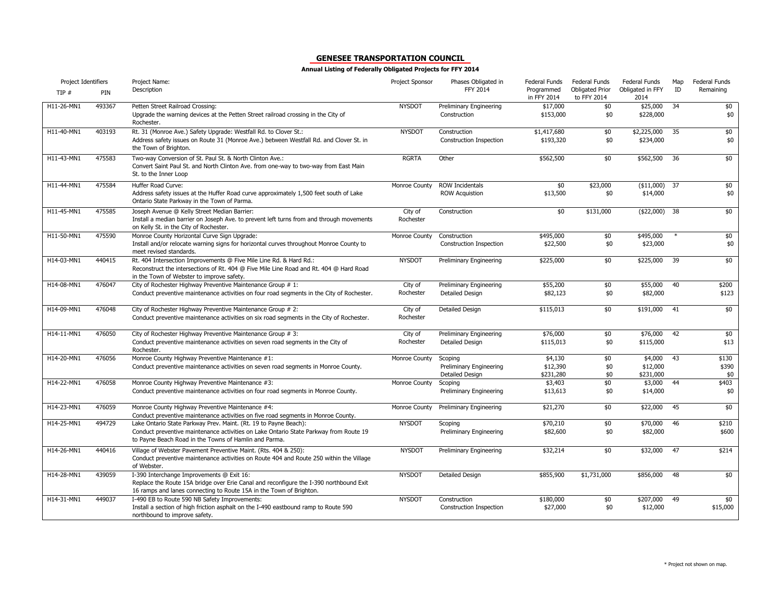| Project Identifiers |        | Project Name:                                                                                                                                                                                                      | Project Sponsor      | Phases Obligated in                                   | Federal Funds                    | Federal Funds                         | Federal Funds                    | Map | Federal Funds         |
|---------------------|--------|--------------------------------------------------------------------------------------------------------------------------------------------------------------------------------------------------------------------|----------------------|-------------------------------------------------------|----------------------------------|---------------------------------------|----------------------------------|-----|-----------------------|
| TIP#                | PIN    | Description                                                                                                                                                                                                        |                      | FFY 2014                                              | Programmed<br>in FFY 2014        | <b>Obligated Prior</b><br>to FFY 2014 | Obligated in FFY<br>2014         | ID  | Remaining             |
| H11-26-MN1          | 493367 | Petten Street Railroad Crossing:<br>Upgrade the warning devices at the Petten Street railroad crossing in the City of<br>Rochester.                                                                                | <b>NYSDOT</b>        | Preliminary Engineering<br>Construction               | \$17,000<br>\$153,000            | \$0<br>\$0                            | \$25,000<br>\$228,000            | 34  | \$0<br>\$0            |
| H11-40-MN1          | 403193 | Rt. 31 (Monroe Ave.) Safety Upgrade: Westfall Rd. to Clover St.:<br>Address safety issues on Route 31 (Monroe Ave.) between Westfall Rd. and Clover St. in<br>the Town of Brighton.                                | <b>NYSDOT</b>        | Construction<br>Construction Inspection               | \$1,417,680<br>\$193,320         | \$0<br>\$0                            | \$2,225,000<br>\$234,000         | 35  | \$0<br>\$0            |
| H11-43-MN1          | 475583 | Two-way Conversion of St. Paul St. & North Clinton Ave.:<br>Convert Saint Paul St. and North Clinton Ave. from one-way to two-way from East Main<br>St. to the Inner Loop                                          | <b>RGRTA</b>         | Other                                                 | \$562,500                        | \$0                                   | \$562,500                        | 36  | \$0                   |
| H11-44-MN1          | 475584 | Huffer Road Curve:<br>Address safety issues at the Huffer Road curve approximately 1,500 feet south of Lake<br>Ontario State Parkway in the Town of Parma.                                                         | Monroe County        | <b>ROW Incidentals</b><br><b>ROW Acquistion</b>       | \$0<br>\$13,500                  | \$23,000<br>\$0                       | $($11,000)$ 37<br>\$14,000       |     | \$0<br>\$0            |
| H11-45-MN1          | 475585 | Joseph Avenue @ Kelly Street Median Barrier:<br>Install a median barrier on Joseph Ave. to prevent left turns from and through movements<br>on Kelly St. in the City of Rochester.                                 | City of<br>Rochester | Construction                                          | \$0                              | \$131,000                             | (\$22,000)                       | 38  | \$0                   |
| H11-50-MN1          | 475590 | Monroe County Horizontal Curve Sign Upgrade:<br>Install and/or relocate warning signs for horizontal curves throughout Monroe County to<br>meet revised standards.                                                 | Monroe County        | Construction<br>Construction Inspection               | \$495,000<br>\$22,500            | \$0<br>\$0                            | \$495,000<br>\$23,000            |     | \$0<br>\$0            |
| H14-03-MN1          | 440415 | Rt. 404 Intersection Improvements @ Five Mile Line Rd. & Hard Rd.:<br>Reconstruct the intersections of Rt. 404 @ Five Mile Line Road and Rt. 404 @ Hard Road<br>in the Town of Webster to improve safety.          | <b>NYSDOT</b>        | Preliminary Engineering                               | \$225,000                        | \$0                                   | \$225,000                        | 39  | \$0                   |
| H14-08-MN1          | 476047 | City of Rochester Highway Preventive Maintenance Group # 1:<br>Conduct preventive maintenance activities on four road segments in the City of Rochester.                                                           | City of<br>Rochester | Preliminary Engineering<br>Detailed Design            | \$55,200<br>\$82,123             | \$0<br>\$0                            | \$55,000<br>\$82,000             | 40  | \$200<br>\$123        |
| H14-09-MN1          | 476048 | City of Rochester Highway Preventive Maintenance Group # 2:<br>Conduct preventive maintenance activities on six road segments in the City of Rochester.                                                            | City of<br>Rochester | Detailed Design                                       | \$115,013                        | \$0                                   | \$191,000                        | 41  | \$0                   |
| H14-11-MN1          | 476050 | City of Rochester Highway Preventive Maintenance Group # 3:<br>Conduct preventive maintenance activities on seven road segments in the City of<br>Rochester.                                                       | City of<br>Rochester | Preliminary Engineering<br>Detailed Design            | \$76,000<br>\$115,013            | \$0<br>\$0                            | \$76,000<br>\$115,000            | 42  | \$0<br>\$13           |
| H14-20-MN1          | 476056 | Monroe County Highway Preventive Maintenance #1:<br>Conduct preventive maintenance activities on seven road segments in Monroe County.                                                                             | Monroe County        | Scoping<br>Preliminary Engineering<br>Detailed Design | \$4,130<br>\$12,390<br>\$231,280 | \$0<br>\$0<br>\$0                     | \$4,000<br>\$12,000<br>\$231,000 | 43  | \$130<br>\$390<br>\$0 |
| H14-22-MN1          | 476058 | Monroe County Highway Preventive Maintenance #3:<br>Conduct preventive maintenance activities on four road segments in Monroe County.                                                                              | Monroe County        | Scoping<br>Preliminary Engineering                    | \$3,403<br>\$13,613              | \$0<br>\$0                            | \$3,000<br>\$14,000              | 44  | \$403<br>\$0          |
| H14-23-MN1          | 476059 | Monroe County Highway Preventive Maintenance #4:<br>Conduct preventive maintenance activities on five road segments in Monroe County.                                                                              | Monroe County        | Preliminary Engineering                               | \$21,270                         | \$0                                   | \$22,000                         | 45  | \$0                   |
| H14-25-MN1          | 494729 | Lake Ontario State Parkway Prev. Maint. (Rt. 19 to Payne Beach):<br>Conduct preventive maintenance activities on Lake Ontario State Parkway from Route 19<br>to Payne Beach Road in the Towns of Hamlin and Parma. | <b>NYSDOT</b>        | Scoping<br><b>Preliminary Engineering</b>             | \$70,210<br>\$82,600             | \$0<br>\$0                            | \$70,000<br>\$82,000             | 46  | \$210<br>\$600        |
| H14-26-MN1          | 440416 | Village of Webster Pavement Preventive Maint. (Rts. 404 & 250):<br>Conduct preventive maintenance activities on Route 404 and Route 250 within the Village<br>of Webster.                                          | <b>NYSDOT</b>        | Preliminary Engineering                               | \$32,214                         | \$0                                   | \$32,000                         | 47  | \$214                 |
| H14-28-MN1          | 439059 | I-390 Interchange Improvements @ Exit 16:<br>Replace the Route 15A bridge over Erie Canal and reconfigure the I-390 northbound Exit<br>16 ramps and lanes connecting to Route 15A in the Town of Brighton.         | <b>NYSDOT</b>        | <b>Detailed Design</b>                                | \$855,900                        | \$1,731,000                           | \$856,000                        | 48  | \$0                   |
| H14-31-MN1          | 449037 | I-490 EB to Route 590 NB Safety Improvements:<br>Install a section of high friction asphalt on the I-490 eastbound ramp to Route 590<br>northbound to improve safety.                                              | <b>NYSDOT</b>        | Construction<br>Construction Inspection               | \$180,000<br>\$27,000            | \$0<br>\$0                            | \$207,000<br>\$12,000            | 49  | \$0<br>\$15,000       |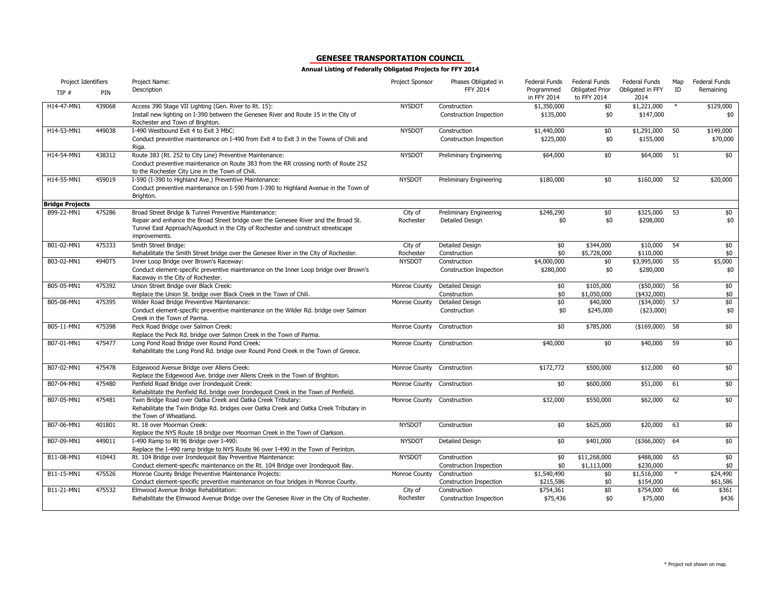| Project Identifiers    |        | Project Name:                                                                                                                                                                                                                                    | Project Sponsor      | Phases Obligated in                            | Federal Funds                       | Federal Funds                         | Federal Funds                  | Map    | Federal Funds         |
|------------------------|--------|--------------------------------------------------------------------------------------------------------------------------------------------------------------------------------------------------------------------------------------------------|----------------------|------------------------------------------------|-------------------------------------|---------------------------------------|--------------------------------|--------|-----------------------|
| TIP#                   | PIN    | Description                                                                                                                                                                                                                                      |                      | FFY 2014                                       | Programmed<br>in FFY 2014           | <b>Obligated Prior</b><br>to FFY 2014 | Obligated in FFY<br>2014       | ID     | Remaining             |
| H14-47-MN1             | 439068 | Access 390 Stage VII Lighting (Gen. River to Rt. 15):<br>Install new lighting on I-390 between the Genesee River and Route 15 in the City of<br>Rochester and Town of Brighton.                                                                  | <b>NYSDOT</b>        | Construction<br>Construction Inspection        | \$1,350,000<br>\$135,000            | \$0<br>\$0                            | \$1,221,000<br>\$147,000       | $\ast$ | \$129,000<br>\$0      |
| H14-53-MN1             | 449038 | I-490 Westbound Exit 4 to Exit 3 MbC:<br>Conduct preventive maintenance on I-490 from Exit 4 to Exit 3 in the Towns of Chili and<br>Riga.                                                                                                        | <b>NYSDOT</b>        | Construction<br>Construction Inspection        | \$1,440,000<br>\$225,000            | \$0<br>\$0                            | \$1,291,000<br>\$155,000       | 50     | \$149,000<br>\$70,000 |
| H14-54-MN1             | 438312 | Route 383 (Rt. 252 to City Line) Preventive Maintenance:<br>Conduct preventive maintenance on Route 383 from the RR crossing north of Route 252<br>to the Rochester City Line in the Town of Chili.                                              | <b>NYSDOT</b>        | Preliminary Engineering                        | \$64,000                            | \$0                                   | \$64,000                       | 51     | \$0                   |
| H14-55-MN1             | 459019 | I-590 (I-390 to Highland Ave.) Preventive Maintenance:<br>Conduct preventive maintenance on I-590 from I-390 to Highland Avenue in the Town of<br>Brighton.                                                                                      | <b>NYSDOT</b>        | Preliminary Engineering                        | \$180,000                           | \$0                                   | \$160,000                      | 52     | \$20,000              |
| <b>Bridge Projects</b> |        |                                                                                                                                                                                                                                                  |                      |                                                |                                     |                                       |                                |        |                       |
| B99-22-MN1             | 475286 | Broad Street Bridge & Tunnel Preventive Maintenance:<br>Repair and enhance the Broad Street bridge over the Genesee River and the Broad St.<br>Tunnel East Approach/Aqueduct in the City of Rochester and construct streetscape<br>improvements. | City of<br>Rochester | Preliminary Engineering<br>Detailed Design     | \$248,290<br>\$0                    | \$0<br>\$0                            | \$325,000<br>\$208,000         | 53     | \$0<br>\$0            |
| B01-02-MN1             | 475333 | Smith Street Bridge:                                                                                                                                                                                                                             | City of              | <b>Detailed Design</b>                         | \$0                                 | \$344,000                             | \$10,000                       | 54     | $\frac{1}{2}$         |
|                        |        | Rehabilitate the Smith Street bridge over the Genesee River in the City of Rochester.                                                                                                                                                            | Rochester            | Construction                                   | \$0                                 | \$5,728,000                           | \$110,000                      |        | \$0                   |
| B03-02-MN1             | 4940T5 | Inner Loop Bridge over Brown's Raceway:<br>Conduct element-specific preventive maintenance on the Inner Loop bridge over Brown's<br>Raceway in the City of Rochester.                                                                            | <b>NYSDOT</b>        | Construction<br><b>Construction Inspection</b> | \$4,000,000<br>\$280,000            | \$0<br>\$0                            | \$3,995,000<br>\$280,000       | 55     | \$5,000<br>\$0        |
| B05-05-MN1             | 475392 | Union Street Bridge over Black Creek:<br>Replace the Union St. bridge over Black Creek in the Town of Chili.                                                                                                                                     | Monroe County        | <b>Detailed Design</b><br>Construction         | \$0<br>\$0                          | \$105,000<br>\$1,050,000              | $($50,000)$ 56<br>$(*432,000)$ |        | $\frac{1}{2}$<br>\$0  |
| B05-08-MN1             | 475395 | Wilder Road Bridge Preventive Maintenance:<br>Conduct element-specific preventive maintenance on the Wilder Rd. bridge over Salmon<br>Creek in the Town of Parma.                                                                                | Monroe County        | <b>Detailed Design</b><br>Construction         | \$0<br>\$0                          | \$40,000<br>\$245,000                 | $(*34,000)$<br>$(*23,000)$     | 57     | \$0<br>\$0            |
| B05-11-MN1             | 475398 | Peck Road Bridge over Salmon Creek:<br>Replace the Peck Rd. bridge over Salmon Creek in the Town of Parma.                                                                                                                                       | Monroe County        | Construction                                   | \$0                                 | \$785,000                             | $($169,000)$ 58                |        | \$0                   |
| B07-01-MN1             | 475477 | Long Pond Road Bridge over Round Pond Creek:<br>Rehabilitate the Long Pond Rd. bridge over Round Pond Creek in the Town of Greece.                                                                                                               | Monroe County        | Construction                                   | \$40,000                            | \$0                                   | \$40,000                       | 59     | \$0                   |
| B07-02-MN1             | 475478 | Edgewood Avenue Bridge over Allens Creek:<br>Replace the Edgewood Ave. bridge over Allens Creek in the Town of Brighton.                                                                                                                         | Monroe County        | Construction                                   | \$172,772                           | \$500,000                             | \$12,000                       | 60     | \$0                   |
| B07-04-MN1             | 475480 | Penfield Road Bridge over Irondequoit Creek:<br>Rehabilitate the Penfield Rd. bridge over Irondequoit Creek in the Town of Penfield.                                                                                                             | Monroe County        | Construction                                   | \$0                                 | \$600,000                             | \$51,000                       | 61     | \$0                   |
| B07-05-MN1             | 475481 | Twin Bridge Road over Oatka Creek and Oatka Creek Tributary:<br>Rehabilitate the Twin Bridge Rd. bridges over Oatka Creek and Oatka Creek Tributary in<br>the Town of Wheatland.                                                                 | Monroe County        | Construction                                   | \$32,000                            | \$550,000                             | \$62,000                       | 62     | \$0                   |
| B07-06-MN1             | 401801 | Rt. 18 over Moorman Creek:<br>Replace the NYS Route 18 bridge over Moorman Creek in the Town of Clarkson.                                                                                                                                        | <b>NYSDOT</b>        | Construction                                   | \$0                                 | \$625,000                             | \$20,000                       | 63     | \$0                   |
| B07-09-MN1             | 449011 | I-490 Ramp to Rt 96 Bridge over I-490:<br>Replace the I-490 ramp bridge to NYS Route 96 over I-490 in the Town of Perinton.                                                                                                                      | <b>NYSDOT</b>        | Detailed Design                                | \$0                                 | \$401,000                             | $($366,000)$ 64                |        | \$0                   |
| B11-08-MN1             | 410443 | Rt. 104 Bridge over Irondequoit Bay Preventive Maintenance:<br>Conduct element-specific maintenance on the Rt. 104 Bridge over Irondequoit Bay.                                                                                                  | <b>NYSDOT</b>        | Construction<br>Construction Inspection        | \$0<br>\$0                          | \$11,268,000<br>\$1,113,000           | \$488,000<br>\$230,000         | 65     | $\frac{1}{2}$<br>\$0  |
| B11-15-MN1             | 475526 | Monroe County Bridge Preventive Maintenance Projects:<br>Conduct element-specific preventive maintenance on four bridges in Monroe County.                                                                                                       | Monroe County        | Construction<br>Construction Inspection        | $\overline{1,540,490}$<br>\$215,586 | \$0<br>\$0                            | \$1,516,000<br>\$154,000       | $\ast$ | \$24,490<br>\$61,586  |
| B11-21-MN1             | 475532 | Elmwood Avenue Bridge Rehabilitation:<br>Rehabilitate the Elmwood Avenue Bridge over the Genesee River in the City of Rochester.                                                                                                                 | City of<br>Rochester | Construction<br><b>Construction Inspection</b> | \$754,361<br>\$75,436               | \$0<br>\$0                            | \$754,000<br>\$75,000          | 66     | \$361<br>\$436        |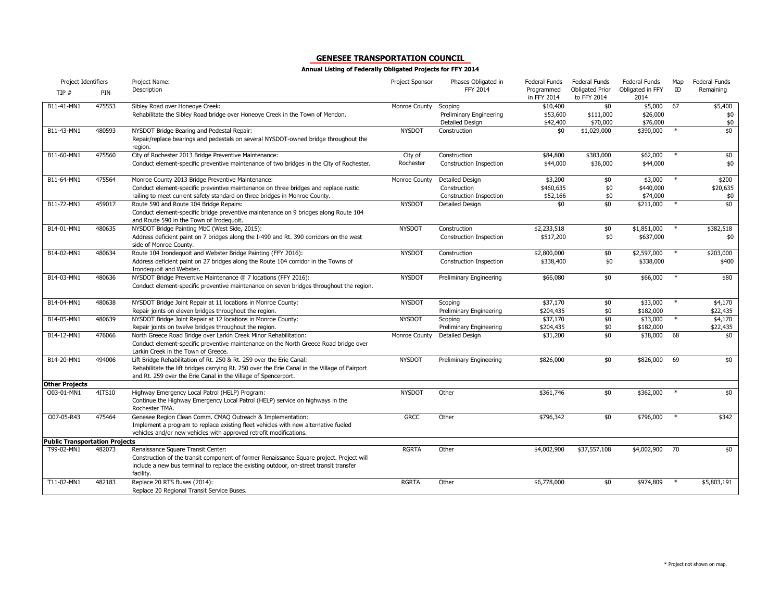| Project Identifiers                   |        | Project Name:                                                                                                    | Project Sponsor | Phases Obligated in            | <b>Federal Funds</b>      | <b>Federal Funds</b>                  | Federal Funds            | Map    | Federal Funds |
|---------------------------------------|--------|------------------------------------------------------------------------------------------------------------------|-----------------|--------------------------------|---------------------------|---------------------------------------|--------------------------|--------|---------------|
| TIP#                                  | PIN    | Description                                                                                                      |                 | FFY 2014                       | Programmed<br>in FFY 2014 | <b>Obligated Prior</b><br>to FFY 2014 | Obligated in FFY<br>2014 | ID     | Remaining     |
| B11-41-MN1                            | 475553 | Sibley Road over Honeoye Creek:                                                                                  | Monroe County   | Scoping                        | \$10,400                  | \$0                                   | \$5,000                  | 67     | \$5,400       |
|                                       |        | Rehabilitate the Sibley Road bridge over Honeoye Creek in the Town of Mendon.                                    |                 | Preliminary Engineering        | \$53,600                  | \$111,000                             | \$26,000                 |        | \$0           |
|                                       |        |                                                                                                                  |                 | Detailed Design                | \$42,400                  | \$70,000                              | \$76,000                 |        | \$0           |
| B11-43-MN1                            | 480593 | NYSDOT Bridge Bearing and Pedestal Repair:                                                                       | <b>NYSDOT</b>   | Construction                   | \$0                       | \$1,029,000                           | \$390,000                |        | \$0           |
|                                       |        | Repair/replace bearings and pedestals on several NYSDOT-owned bridge throughout the                              |                 |                                |                           |                                       |                          |        |               |
| B11-60-MN1                            | 475560 | region.<br>City of Rochester 2013 Bridge Preventive Maintenance:                                                 | City of         | Construction                   | \$84,800                  | \$383,000                             | \$62,000                 |        | \$0           |
|                                       |        | Conduct element-specific preventive maintenance of two bridges in the City of Rochester.                         | Rochester       | Construction Inspection        | \$44,000                  | \$36,000                              | \$44,000                 |        | \$0           |
|                                       |        |                                                                                                                  |                 |                                |                           |                                       |                          |        |               |
| B11-64-MN1                            | 475564 | Monroe County 2013 Bridge Preventive Maintenance:                                                                | Monroe County   | <b>Detailed Design</b>         | \$3,200                   | \$0                                   | \$3,000                  |        | \$200         |
|                                       |        | Conduct element-specific preventive maintenance on three bridges and replace rustic                              |                 | Construction                   | \$460,635                 | \$0                                   | \$440,000                |        | \$20,635      |
|                                       |        | railing to meet current safety standard on three bridges in Monroe County.                                       |                 | <b>Construction Inspection</b> | \$52,166                  | \$0                                   | \$74,000                 |        | \$0           |
| B11-72-MN1                            | 459017 | Route 590 and Route 104 Bridge Repairs:                                                                          | <b>NYSDOT</b>   | <b>Detailed Design</b>         | \$0                       | \$0                                   | \$211,000                | $\ast$ | \$0           |
|                                       |        | Conduct element-specific bridge preventive maintenance on 9 bridges along Route 104                              |                 |                                |                           |                                       |                          |        |               |
|                                       |        | and Route 590 in the Town of Irodequoit.                                                                         |                 |                                |                           |                                       |                          |        |               |
| B14-01-MN1                            | 480635 | NYSDOT Bridge Painting MbC (West Side, 2015):                                                                    | <b>NYSDOT</b>   | Construction                   | \$2,233,518               | \$0                                   | \$1,851,000              |        | \$382,518     |
|                                       |        | Address deficient paint on 7 bridges along the I-490 and Rt. 390 corridors on the west<br>side of Monroe County. |                 | Construction Inspection        | \$517,200                 | \$0                                   | \$637,000                |        | \$0           |
| B14-02-MN1                            | 480634 | Route 104 Irondequoit and Webster Bridge Painting (FFY 2016):                                                    | <b>NYSDOT</b>   | Construction                   | \$2,800,000               | \$0                                   | \$2,597,000              |        | \$203,000     |
|                                       |        | Address deficient paint on 27 bridges along the Route 104 corridor in the Towns of<br>Irondequoit and Webster.   |                 | Construction Inspection        | \$338,400                 | \$0                                   | \$338,000                |        | \$400         |
| B14-03-MN1                            | 480636 | NYSDOT Bridge Preventive Maintenance @ 7 locations (FFY 2016):                                                   | <b>NYSDOT</b>   | Preliminary Engineering        | \$66,080                  | \$0                                   | \$66,000                 |        | \$80          |
|                                       |        | Conduct element-specific preventive maintenance on seven bridges throughout the region.                          |                 |                                |                           |                                       |                          |        |               |
| B14-04-MN1                            | 480638 | NYSDOT Bridge Joint Repair at 11 locations in Monroe County:                                                     | <b>NYSDOT</b>   | Scoping                        | \$37,170                  | \$0                                   | \$33,000                 | $\ast$ | \$4,170       |
|                                       |        | Repair joints on eleven bridges throughout the region.                                                           |                 | <b>Preliminary Engineering</b> | \$204,435                 | \$0                                   | \$182,000                |        | \$22,435      |
| B14-05-MN1                            | 480639 | NYSDOT Bridge Joint Repair at 12 locations in Monroe County:                                                     | <b>NYSDOT</b>   | Scoping                        | \$37,170                  | \$0                                   | \$33,000                 | $*$    | \$4,170       |
|                                       |        | Repair joints on twelve bridges throughout the region.                                                           |                 | Preliminary Engineering        | \$204,435                 | \$0                                   | \$182,000                |        | \$22,435      |
| B14-12-MN1                            | 476066 | North Greece Road Bridge over Larkin Creek Minor Rehabilitation:                                                 | Monroe County   | <b>Detailed Design</b>         | \$31,200                  | \$0                                   | \$38,000                 | 68     | \$0           |
|                                       |        | Conduct element-specific preventive maintenance on the North Greece Road bridge over                             |                 |                                |                           |                                       |                          |        |               |
|                                       |        | Larkin Creek in the Town of Greece.                                                                              |                 |                                |                           |                                       |                          |        |               |
| B14-20-MN1                            | 494006 | Lift Bridge Rehabilitation of Rt. 250 & Rt. 259 over the Erie Canal:                                             | <b>NYSDOT</b>   | <b>Preliminary Engineering</b> | \$826,000                 | \$0                                   | \$826,000                | 69     | \$0           |
|                                       |        | Rehabilitate the lift bridges carrying Rt. 250 over the Erie Canal in the Village of Fairport                    |                 |                                |                           |                                       |                          |        |               |
|                                       |        | and Rt. 259 over the Erie Canal in the Village of Spencerport.                                                   |                 |                                |                           |                                       |                          |        |               |
| <b>Other Projects</b><br>O03-01-MN1   | 4ITS10 | Highway Emergency Local Patrol (HELP) Program:                                                                   | <b>NYSDOT</b>   | Other                          | \$361,746                 | \$0                                   | \$362,000                |        | \$0           |
|                                       |        | Continue the Highway Emergency Local Patrol (HELP) service on highways in the                                    |                 |                                |                           |                                       |                          |        |               |
|                                       |        | Rochester TMA.                                                                                                   |                 |                                |                           |                                       |                          |        |               |
| O07-05-R43                            | 475464 | Genesee Region Clean Comm. CMAQ Outreach & Implementation:                                                       | <b>GRCC</b>     | Other                          | \$796,342                 | \$0                                   | \$796,000                | $\ast$ | \$342         |
|                                       |        | Implement a program to replace existing fleet vehicles with new alternative fueled                               |                 |                                |                           |                                       |                          |        |               |
|                                       |        | vehicles and/or new vehicles with approved retrofit modifications.                                               |                 |                                |                           |                                       |                          |        |               |
| <b>Public Transportation Projects</b> |        |                                                                                                                  |                 |                                |                           |                                       |                          |        |               |
| T99-02-MN1                            | 482073 | Renaissance Square Transit Center:                                                                               | <b>RGRTA</b>    | Other                          | \$4,002,900               | \$37,557,108                          | \$4,002,900              | 70     | \$0           |
|                                       |        | Construction of the transit component of former Renaissance Square project. Project will                         |                 |                                |                           |                                       |                          |        |               |
|                                       |        | include a new bus terminal to replace the existing outdoor, on-street transit transfer                           |                 |                                |                           |                                       |                          |        |               |
|                                       |        | facility.                                                                                                        |                 |                                |                           |                                       |                          |        |               |
| T11-02-MN1                            | 482183 | Replace 20 RTS Buses (2014):                                                                                     | <b>RGRTA</b>    | Other                          | \$6,778,000               | \$0                                   | \$974,809                |        | \$5,803,191   |
|                                       |        | Replace 20 Regional Transit Service Buses.                                                                       |                 |                                |                           |                                       |                          |        |               |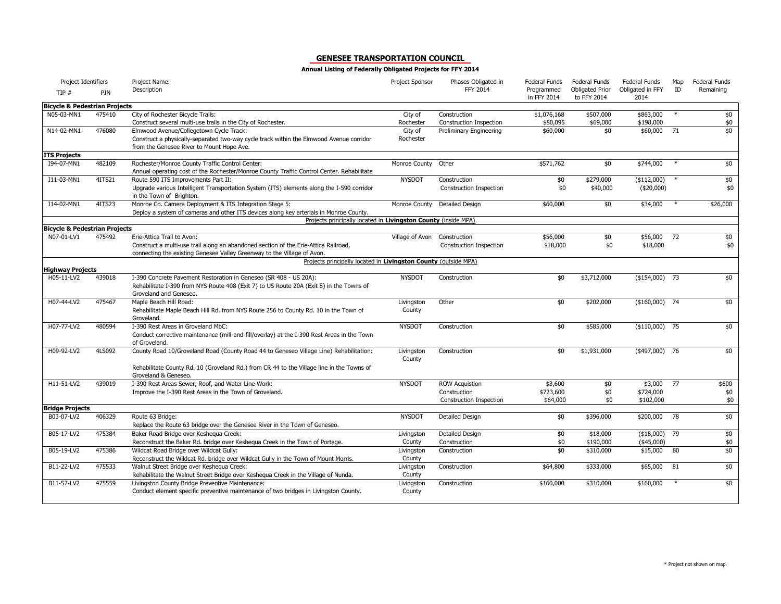| Project Identifiers                      |        | Project Name:                                                                                                         | <b>Project Sponsor</b> | Phases Obligated in            | <b>Federal Funds</b>      | <b>Federal Funds</b>                  | <b>Federal Funds</b>     | Map    | <b>Federal Funds</b> |
|------------------------------------------|--------|-----------------------------------------------------------------------------------------------------------------------|------------------------|--------------------------------|---------------------------|---------------------------------------|--------------------------|--------|----------------------|
| TIP #                                    | PIN    | Description                                                                                                           |                        | FFY 2014                       | Programmed<br>in FFY 2014 | <b>Obligated Prior</b><br>to FFY 2014 | Obligated in FFY<br>2014 | ID     | Remaining            |
| <b>Bicycle &amp; Pedestrian Projects</b> |        |                                                                                                                       |                        |                                |                           |                                       |                          |        |                      |
| N05-03-MN1                               | 475410 | City of Rochester Bicycle Trails:                                                                                     | City of                | Construction                   | \$1,076,168               | \$507,000                             | \$863,000                | $\ast$ | \$0                  |
|                                          |        | Construct several multi-use trails in the City of Rochester.                                                          | Rochester              | Construction Inspection        | \$80,095                  | \$69,000                              | \$198,000                |        | \$0                  |
| N14-02-MN1                               | 476080 | Elmwood Avenue/Collegetown Cycle Track:                                                                               | City of                | Preliminary Engineering        | \$60,000                  | \$0                                   | \$60,000                 | 71     | \$0                  |
|                                          |        | Construct a physically-separated two-way cycle track within the Elmwood Avenue corridor                               | Rochester              |                                |                           |                                       |                          |        |                      |
|                                          |        | from the Genesee River to Mount Hope Ave.                                                                             |                        |                                |                           |                                       |                          |        |                      |
| <b>ITS Projects</b>                      |        |                                                                                                                       |                        |                                |                           |                                       |                          |        |                      |
| I94-07-MN1                               | 482109 | Rochester/Monroe County Traffic Control Center:                                                                       | Monroe County          | Other                          | \$571,762                 | \$0                                   | \$744,000                | $\ast$ | \$0                  |
| I11-03-MN1                               | 4ITS21 | Annual operating cost of the Rochester/Monroe County Traffic Control Center. Rehabilitate                             | <b>NYSDOT</b>          |                                |                           |                                       |                          |        |                      |
|                                          |        | Route 590 ITS Improvements Part II:                                                                                   |                        | Construction                   | \$0<br>\$0                | \$279,000                             | (\$112,000)              |        | \$0<br>\$0           |
|                                          |        | Upgrade various Intelligent Transportation System (ITS) elements along the I-590 corridor<br>in the Town of Brighton. |                        | <b>Construction Inspection</b> |                           | \$40,000                              | (\$20,000)               |        |                      |
| I14-02-MN1                               | 4ITS23 | Monroe Co. Camera Deployment & ITS Integration Stage 5:                                                               | Monroe County          | <b>Detailed Design</b>         | \$60,000                  | \$0                                   | \$34,000                 | $\ast$ | \$26,000             |
|                                          |        | Deploy a system of cameras and other ITS devices along key arterials in Monroe County.                                |                        |                                |                           |                                       |                          |        |                      |
|                                          |        | Projects principally located in Livingston County (inside MPA)                                                        |                        |                                |                           |                                       |                          |        |                      |
| <b>Bicycle &amp; Pedestrian Projects</b> |        |                                                                                                                       |                        |                                |                           |                                       |                          |        |                      |
| N07-01-LV1                               | 475492 | Erie-Attica Trail to Avon:                                                                                            | Village of Avon        | Construction                   | \$56,000                  | \$0                                   | \$56,000                 | 72     | \$0                  |
|                                          |        | Construct a multi-use trail along an abandoned section of the Erie-Attica Railroad,                                   |                        | Construction Inspection        | \$18,000                  | \$0                                   | \$18,000                 |        | \$0                  |
|                                          |        | connecting the existing Genesee Valley Greenway to the Village of Avon.                                               |                        |                                |                           |                                       |                          |        |                      |
| <b>Highway Projects</b>                  |        | Projects principally located in Livingston County (outside MPA)                                                       |                        |                                |                           |                                       |                          |        |                      |
| H05-11-LV2                               | 439018 | I-390 Concrete Pavement Restoration in Geneseo (SR 408 - US 20A):                                                     | <b>NYSDOT</b>          | Construction                   | \$0                       | \$3,712,000                           | $($154,000)$ 73          |        | \$0                  |
|                                          |        | Rehabilitate I-390 from NYS Route 408 (Exit 7) to US Route 20A (Exit 8) in the Towns of                               |                        |                                |                           |                                       |                          |        |                      |
|                                          |        | Groveland and Geneseo.                                                                                                |                        |                                |                           |                                       |                          |        |                      |
| H07-44-LV2                               | 475467 | Maple Beach Hill Road:                                                                                                | Livingston             | Other                          | \$0                       | \$202,000                             | $($160,000)$ 74          |        | \$0                  |
|                                          |        | Rehabilitate Maple Beach Hill Rd. from NYS Route 256 to County Rd. 10 in the Town of                                  | County                 |                                |                           |                                       |                          |        |                      |
|                                          |        | Groveland.                                                                                                            |                        |                                |                           |                                       |                          |        |                      |
| H07-77-LV2                               | 480594 | I-390 Rest Areas in Groveland MbC:                                                                                    | <b>NYSDOT</b>          | Construction                   | \$0                       | \$585,000                             | $($110,000)$ 75          |        | \$0                  |
|                                          |        | Conduct corrective maintenance (mill-and-fill/overlay) at the I-390 Rest Areas in the Town                            |                        |                                |                           |                                       |                          |        |                      |
|                                          |        | of Groveland.                                                                                                         |                        |                                |                           |                                       |                          |        |                      |
| H09-92-LV2                               | 4LS092 | County Road 10/Groveland Road (County Road 44 to Geneseo Village Line) Rehabilitation:                                | Livingston             | Construction                   | \$0                       | \$1,931,000                           | $(*497,000)$ 76          |        | \$0                  |
|                                          |        |                                                                                                                       | County                 |                                |                           |                                       |                          |        |                      |
|                                          |        | Rehabilitate County Rd. 10 (Groveland Rd.) from CR 44 to the Village line in the Towns of                             |                        |                                |                           |                                       |                          |        |                      |
|                                          |        | Groveland & Geneseo.                                                                                                  |                        |                                |                           |                                       |                          |        |                      |
| H11-51-LV2                               | 439019 | I-390 Rest Areas Sewer, Roof, and Water Line Work:                                                                    | <b>NYSDOT</b>          | <b>ROW Acquistion</b>          | \$3,600                   | \$0                                   | \$3,000                  | 77     | \$600                |
|                                          |        | Improve the I-390 Rest Areas in the Town of Groveland.                                                                |                        | Construction                   | \$723,600                 | \$0                                   | \$724,000                |        | \$0                  |
|                                          |        |                                                                                                                       |                        | Construction Inspection        | \$64,000                  | \$0                                   | \$102,000                |        | \$0                  |
| <b>Bridge Projects</b>                   |        |                                                                                                                       |                        |                                |                           |                                       |                          |        |                      |
| B03-07-LV2                               | 406329 | Route 63 Bridge:                                                                                                      | <b>NYSDOT</b>          | Detailed Design                | \$0                       | \$396,000                             | \$200,000                | 78     | \$0                  |
|                                          |        | Replace the Route 63 bridge over the Genesee River in the Town of Geneseo.                                            |                        |                                |                           |                                       |                          |        |                      |
| B05-17-LV2                               | 475384 | Baker Road Bridge over Keshegua Creek:                                                                                | Livingston             | Detailed Design                | \$0\$                     | \$18,000                              | $($18,000)$ 79           |        | \$0                  |
|                                          |        | Reconstruct the Baker Rd. bridge over Keshequa Creek in the Town of Portage.                                          | County                 | Construction                   | \$0                       | \$190,000                             | $(*45,000)$              |        | \$0                  |
| B05-19-LV2                               | 475386 | Wildcat Road Bridge over Wildcat Gully:                                                                               | Livingston             | Construction                   | \$0                       | \$310,000                             | \$15,000                 | 80     | \$0                  |
|                                          |        | Reconstruct the Wildcat Rd. bridge over Wildcat Gully in the Town of Mount Morris.                                    | County                 |                                |                           |                                       |                          |        |                      |
| B11-22-LV2                               | 475533 | Walnut Street Bridge over Keshegua Creek:                                                                             | Livingston             | Construction                   | \$64,800                  | \$333,000                             | \$65,000                 | 81     | \$0                  |
|                                          |        | Rehabilitate the Walnut Street Bridge over Keshequa Creek in the Village of Nunda.                                    | County                 |                                |                           |                                       |                          |        |                      |
| B11-57-LV2                               | 475559 | Livingston County Bridge Preventive Maintenance:                                                                      | Livingston             | Construction                   | \$160,000                 | \$310,000                             | \$160,000                |        | \$0                  |
|                                          |        | Conduct element specific preventive maintenance of two bridges in Livingston County.                                  | County                 |                                |                           |                                       |                          |        |                      |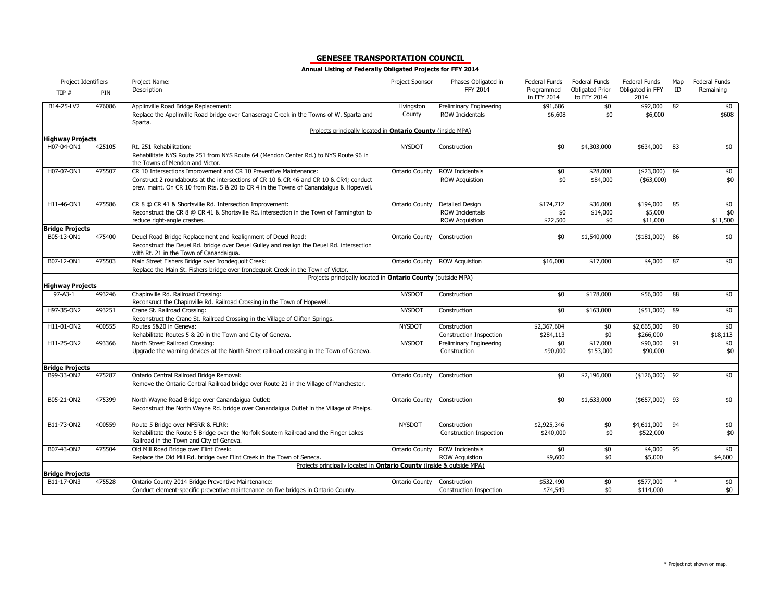| Project Identifiers                  |        | Project Name:                                                                                                                                                                    | Project Sponsor       | Phases Obligated in            | <b>Federal Funds</b>      | Federal Funds                         | <b>Federal Funds</b>     | Map | Federal Funds |
|--------------------------------------|--------|----------------------------------------------------------------------------------------------------------------------------------------------------------------------------------|-----------------------|--------------------------------|---------------------------|---------------------------------------|--------------------------|-----|---------------|
| TIP#                                 | PIN    | Description                                                                                                                                                                      |                       | FFY 2014                       | Programmed<br>in FFY 2014 | <b>Obligated Prior</b><br>to FFY 2014 | Obligated in FFY<br>2014 | ID  | Remaining     |
| B14-25-LV2                           | 476086 | Applinville Road Bridge Replacement:                                                                                                                                             | Livingston            | Preliminary Engineering        | \$91,686                  | \$0                                   | \$92,000                 | 82  | \$0           |
|                                      |        | Replace the Applinville Road bridge over Canaseraga Creek in the Towns of W. Sparta and<br>Sparta.                                                                               | County                | ROW Incidentals                | \$6,608                   | \$0                                   | \$6,000                  |     | \$608         |
| <b>Highway Projects</b>              |        | Projects principally located in Ontario County (inside MPA)                                                                                                                      |                       |                                |                           |                                       |                          |     |               |
| H07-04-ON1                           | 425105 | Rt. 251 Rehabilitation:                                                                                                                                                          | <b>NYSDOT</b>         | Construction                   | \$0                       | \$4,303,000                           | \$634,000                | 83  | \$0           |
|                                      |        | Rehabilitate NYS Route 251 from NYS Route 64 (Mendon Center Rd.) to NYS Route 96 in<br>the Towns of Mendon and Victor.                                                           |                       |                                |                           |                                       |                          |     |               |
| H07-07-ON1                           | 475507 | CR 10 Intersections Improvement and CR 10 Preventive Maintenance:                                                                                                                | <b>Ontario County</b> | <b>ROW Incidentals</b>         | \$0                       | \$28,000                              | $($23,000)$ 84           |     | \$0           |
|                                      |        | Construct 2 roundabouts at the intersections of CR 10 & CR 46 and CR 10 & CR4; conduct<br>prev. maint. On CR 10 from Rts. 5 & 20 to CR 4 in the Towns of Canandaigua & Hopewell. |                       | <b>ROW Acquistion</b>          | \$0                       | \$84,000                              | ( \$63,000)              |     | \$0           |
| H11-46-ON1                           | 475586 | CR 8 @ CR 41 & Shortsville Rd. Intersection Improvement:                                                                                                                         | Ontario County        | <b>Detailed Design</b>         | \$174,712                 | \$36,000                              | \$194,000                | 85  | \$0           |
|                                      |        | Reconstruct the CR 8 @ CR 41 & Shortsville Rd. intersection in the Town of Farmington to                                                                                         |                       | <b>ROW Incidentals</b>         | \$0                       | \$14,000                              | \$5,000                  |     | \$0           |
|                                      |        | reduce right-angle crashes.                                                                                                                                                      |                       | <b>ROW Acquistion</b>          | \$22,500                  | \$0                                   | \$11,000                 |     | \$11,500      |
| <b>Bridge Projects</b><br>B05-13-ON1 | 475400 | Deuel Road Bridge Replacement and Realignment of Deuel Road:                                                                                                                     | <b>Ontario County</b> | Construction                   | \$0                       | \$1,540,000                           | $($181,000)$ 86          |     | \$0           |
|                                      |        | Reconstruct the Deuel Rd. bridge over Deuel Gulley and realign the Deuel Rd. intersection<br>with Rt. 21 in the Town of Canandaigua.                                             |                       |                                |                           |                                       |                          |     |               |
| B07-12-ON1                           | 475503 | Main Street Fishers Bridge over Irondequoit Creek:                                                                                                                               | Ontario County        | <b>ROW Acquistion</b>          | \$16,000                  | \$17,000                              | \$4,000                  | 87  | \$0           |
|                                      |        | Replace the Main St. Fishers bridge over Irondequoit Creek in the Town of Victor.                                                                                                |                       |                                |                           |                                       |                          |     |               |
| <b>Highway Projects</b>              |        | Projects principally located in Ontario County (outside MPA)                                                                                                                     |                       |                                |                           |                                       |                          |     |               |
| $97 - A3 - 1$                        | 493246 | Chapinville Rd. Railroad Crossing:                                                                                                                                               | <b>NYSDOT</b>         | Construction                   | \$0                       | \$178,000                             | \$56,000                 | 88  | \$0           |
|                                      |        | Reconsruct the Chapinville Rd. Railroad Crossing in the Town of Hopewell.                                                                                                        |                       |                                |                           |                                       |                          |     |               |
| H97-35-ON2                           | 493251 | Crane St. Railroad Crossing:                                                                                                                                                     | <b>NYSDOT</b>         | Construction                   | \$0                       | \$163,000                             | (\$51,000)               | 89  | \$0           |
| H11-01-ON2                           | 400555 | Reconstruct the Crane St. Railroad Crossing in the Village of Clifton Springs.<br>Routes 5&20 in Geneva:                                                                         | <b>NYSDOT</b>         | Construction                   | \$2,367,604               | \$0                                   | \$2,665,000              | 90  | \$0           |
|                                      |        | Rehabilitate Routes 5 & 20 in the Town and City of Geneva.                                                                                                                       |                       | <b>Construction Inspection</b> | \$284,113                 | \$0                                   | \$266,000                |     | \$18,113      |
| H11-25-ON2                           | 493366 | North Street Railroad Crossing:                                                                                                                                                  | <b>NYSDOT</b>         | Preliminary Engineering        | \$0                       | \$17,000                              | \$90,000                 | 91  | \$0           |
|                                      |        | Upgrade the warning devices at the North Street railroad crossing in the Town of Geneva.                                                                                         |                       | Construction                   | \$90,000                  | \$153,000                             | \$90,000                 |     | \$0           |
| <b>Bridge Projects</b>               |        |                                                                                                                                                                                  |                       |                                |                           |                                       |                          |     |               |
| B99-33-ON2                           | 475287 | Ontario Central Railroad Bridge Removal:                                                                                                                                         | Ontario County        | Construction                   | \$0                       | \$2,196,000                           | $($126,000)$ 92          |     | \$0           |
|                                      |        | Remove the Ontario Central Railroad bridge over Route 21 in the Village of Manchester.                                                                                           |                       |                                |                           |                                       |                          |     |               |
| B05-21-ON2                           | 475399 | North Wayne Road Bridge over Canandaigua Outlet:                                                                                                                                 | Ontario County        | Construction                   | \$0                       | \$1,633,000                           | $($57,000)$ 93           |     | $\frac{1}{2}$ |
|                                      |        | Reconstruct the North Wayne Rd. bridge over Canandaigua Outlet in the Village of Phelps.                                                                                         |                       |                                |                           |                                       |                          |     |               |
| B11-73-ON2                           | 400559 | Route 5 Bridge over NFSRR & FLRR:                                                                                                                                                | <b>NYSDOT</b>         | Construction                   | \$2,925,346               | \$0                                   | \$4,611,000              | 94  | \$0           |
|                                      |        | Rehabilitate the Route 5 Bridge over the Norfolk Soutern Railroad and the Finger Lakes<br>Railroad in the Town and City of Geneva.                                               |                       | Construction Inspection        | \$240,000                 | \$0                                   | \$522,000                |     | \$0           |
| B07-43-ON2                           | 475504 | Old Mill Road Bridge over Flint Creek:                                                                                                                                           | <b>Ontario County</b> | <b>ROW Incidentals</b>         | \$0                       | \$0                                   | \$4,000                  | 95  | \$0           |
|                                      |        | Replace the Old Mill Rd. bridge over Flint Creek in the Town of Seneca.                                                                                                          |                       | <b>ROW Acquistion</b>          | \$9,600                   | \$0                                   | \$5,000                  |     | \$4,600       |
| <b>Bridge Projects</b>               |        | Projects principally located in <b>Ontario County</b> (inside & outside MPA)                                                                                                     |                       |                                |                           |                                       |                          |     |               |
| B11-17-ON3                           | 475528 | Ontario County 2014 Bridge Preventive Maintenance:                                                                                                                               | Ontario County        | Construction                   | \$532,490                 | \$0                                   | \$577,000                |     | \$0           |
|                                      |        | Conduct element-specific preventive maintenance on five bridges in Ontario County.                                                                                               |                       | Construction Inspection        | \$74,549                  | \$0                                   | \$114,000                |     | \$0           |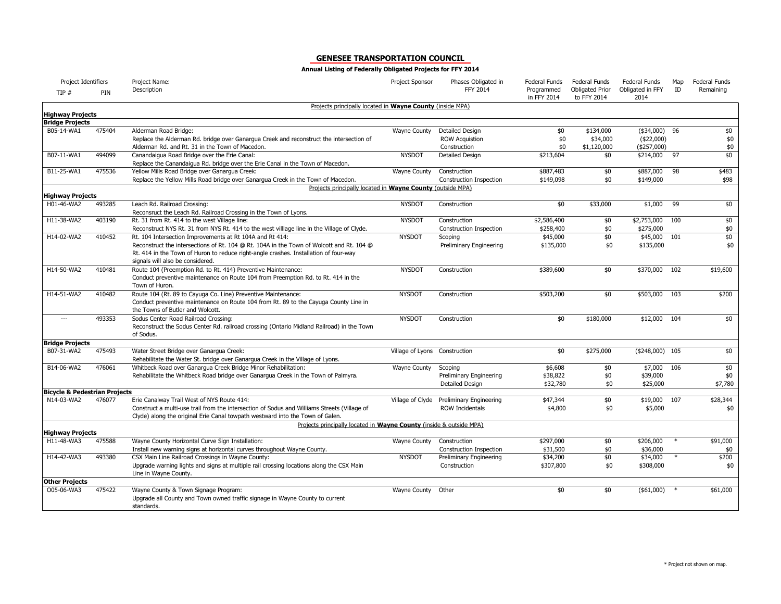| Project Identifiers                      |        | Project Name:                                                                                                                                  | Project Sponsor               | Phases Obligated in            | Federal Funds             | <b>Federal Funds</b>                  | Federal Funds            | Map    | Federal Funds |
|------------------------------------------|--------|------------------------------------------------------------------------------------------------------------------------------------------------|-------------------------------|--------------------------------|---------------------------|---------------------------------------|--------------------------|--------|---------------|
| TIP#                                     | PIN    | Description                                                                                                                                    |                               | FFY 2014                       | Programmed<br>in FFY 2014 | <b>Obligated Prior</b><br>to FFY 2014 | Obligated in FFY<br>2014 | ID     | Remaining     |
| <b>Highway Projects</b>                  |        | Projects principally located in Wayne County (inside MPA)                                                                                      |                               |                                |                           |                                       |                          |        |               |
| <b>Bridge Projects</b>                   |        |                                                                                                                                                |                               |                                |                           |                                       |                          |        |               |
| B05-14-WA1                               | 475404 | Alderman Road Bridge:                                                                                                                          | Wayne County                  | Detailed Design                | \$0                       | \$134,000                             | $($34,000)$ 96           |        | \$0           |
|                                          |        | Replace the Alderman Rd. bridge over Ganargua Creek and reconstruct the intersection of                                                        |                               | <b>ROW Acquistion</b>          | \$0                       | \$34,000                              | (\$22,000)               |        | \$0           |
|                                          |        | Alderman Rd. and Rt. 31 in the Town of Macedon.                                                                                                |                               | Construction                   | \$0                       | \$1,120,000                           | (\$257,000)              |        | \$0           |
| B07-11-WA1                               | 494099 | Canandaigua Road Bridge over the Erie Canal:                                                                                                   | <b>NYSDOT</b>                 | <b>Detailed Design</b>         | \$213,604                 | \$0                                   | \$214,000                | 97     | \$0           |
|                                          |        | Replace the Canandaigua Rd. bridge over the Erie Canal in the Town of Macedon.                                                                 |                               |                                |                           |                                       |                          |        |               |
| B11-25-WA1                               | 475536 | Yellow Mills Road Bridge over Ganargua Creek:                                                                                                  | Wayne County                  | Construction                   | \$887,483                 | \$0                                   | \$887,000                | 98     | \$483         |
|                                          |        | Replace the Yellow Mills Road bridge over Ganargua Creek in the Town of Macedon.                                                               |                               | <b>Construction Inspection</b> | \$149,098                 | \$0                                   | \$149,000                |        | \$98          |
|                                          |        | Projects principally located in Wayne County (outside MPA)                                                                                     |                               |                                |                           |                                       |                          |        |               |
| <b>Highway Projects</b><br>H01-46-WA2    | 493285 | Leach Rd. Railroad Crossing:                                                                                                                   | <b>NYSDOT</b>                 | Construction                   | \$0                       | \$33,000                              | \$1,000                  | 99     | \$0           |
|                                          |        | Reconsruct the Leach Rd. Railroad Crossing in the Town of Lyons.                                                                               |                               |                                |                           |                                       |                          |        |               |
| H11-38-WA2                               | 403190 | Rt. 31 from Rt. 414 to the west Village line:                                                                                                  | <b>NYSDOT</b>                 | Construction                   | \$2,586,400               | \$0                                   | \$2,753,000              | 100    | \$0           |
|                                          |        | Reconstruct NYS Rt. 31 from NYS Rt. 414 to the west villlage line in the Village of Clyde.                                                     |                               | <b>Construction Inspection</b> | \$258,400                 | \$0                                   | \$275,000                |        | \$0           |
| H14-02-WA2                               | 410452 | Rt. 104 Intersection Improvements at Rt 104A and Rt 414:                                                                                       | <b>NYSDOT</b>                 | Scoping                        | \$45,000                  | \$0                                   | \$45,000 101             |        | \$0           |
|                                          |        | Reconstruct the intersections of Rt. 104 @ Rt. 104A in the Town of Wolcott and Rt. 104 @                                                       |                               | Preliminary Engineering        | \$135,000                 | \$0                                   | \$135,000                |        | \$0           |
|                                          |        | Rt. 414 in the Town of Huron to reduce right-angle crashes. Installation of four-way<br>signals will also be considered.                       |                               |                                |                           |                                       |                          |        |               |
| H14-50-WA2                               | 410481 | Route 104 (Preemption Rd. to Rt. 414) Preventive Maintenance:                                                                                  | <b>NYSDOT</b>                 | Construction                   | \$389,600                 | \$0                                   | \$370,000                | 102    | \$19,600      |
|                                          |        | Conduct preventive maintenance on Route 104 from Preemption Rd. to Rt. 414 in the                                                              |                               |                                |                           |                                       |                          |        |               |
|                                          |        | Town of Huron.                                                                                                                                 |                               |                                |                           |                                       |                          |        |               |
| H14-51-WA2                               | 410482 | Route 104 (Rt. 89 to Cayuga Co. Line) Preventive Maintenance:                                                                                  | <b>NYSDOT</b>                 | Construction                   | \$503,200                 | \$0                                   | \$503,000                | 103    | \$200         |
|                                          |        | Conduct preventive maintenance on Route 104 from Rt. 89 to the Cayuga County Line in<br>the Towns of Butler and Wolcott.                       |                               |                                |                           |                                       |                          |        |               |
| $\overline{a}$                           | 493353 | Sodus Center Road Railroad Crossing:<br>Reconstruct the Sodus Center Rd. railroad crossing (Ontario Midland Railroad) in the Town<br>of Sodus. | <b>NYSDOT</b>                 | Construction                   | \$0                       | \$180,000                             | \$12,000                 | 104    | \$0           |
| <b>Bridge Projects</b>                   |        |                                                                                                                                                |                               |                                |                           |                                       |                          |        |               |
| B07-31-WA2                               | 475493 | Water Street Bridge over Ganarqua Creek:<br>Rehabilitate the Water St. bridge over Ganargua Creek in the Village of Lyons.                     | Village of Lyons Construction |                                | \$0                       | \$275,000                             | $($248,000)$ 105         |        | \$0           |
| B14-06-WA2                               | 476061 | Whitbeck Road over Ganarqua Creek Bridge Minor Rehabilitation:                                                                                 | Wayne County                  | Scoping                        | \$6,608                   | \$0                                   | \$7,000                  | 106    | $\frac{1}{2}$ |
|                                          |        | Rehabilitate the Whitbeck Road bridge over Ganargua Creek in the Town of Palmyra.                                                              |                               | <b>Preliminary Engineering</b> | \$38,822                  | \$0                                   | \$39,000                 |        | \$0           |
|                                          |        |                                                                                                                                                |                               | Detailed Design                | \$32,780                  | \$0                                   | \$25,000                 |        | \$7,780       |
| <b>Bicycle &amp; Pedestrian Projects</b> |        |                                                                                                                                                |                               |                                |                           |                                       |                          |        |               |
| N14-03-WA2                               | 476077 | Erie Canalway Trail West of NYS Route 414:                                                                                                     | Village of Clyde              | <b>Preliminary Engineering</b> | \$47,344                  | \$0                                   | \$19,000                 | 107    | \$28,344      |
|                                          |        | Construct a multi-use trail from the intersection of Sodus and Williams Streets (Village of                                                    |                               | <b>ROW Incidentals</b>         | \$4,800                   | \$0                                   | \$5,000                  |        | \$0           |
|                                          |        | Clyde) along the original Erie Canal towpath westward into the Town of Galen.                                                                  |                               |                                |                           |                                       |                          |        |               |
|                                          |        | Projects principally located in Wayne County (inside & outside MPA)                                                                            |                               |                                |                           |                                       |                          |        |               |
| <b>Highway Projects</b><br>H11-48-WA3    | 475588 | Wayne County Horizontal Curve Sign Installation:                                                                                               | Wayne County                  | Construction                   | \$297,000                 | \$0                                   | \$206,000                | $\ast$ | \$91,000      |
|                                          |        | Install new warning signs at horizontal curves throughout Wayne County.                                                                        |                               | Construction Inspection        | \$31,500                  | \$0                                   | \$36,000                 |        | \$0           |
| H14-42-WA3                               | 493380 | CSX Main Line Railroad Crossings in Wayne County:                                                                                              | <b>NYSDOT</b>                 | Preliminary Engineering        | \$34,200                  | \$0                                   | \$34,000                 |        | \$200         |
|                                          |        | Upgrade warning lights and signs at multiple rail crossing locations along the CSX Main                                                        |                               | Construction                   | \$307,800                 | \$0                                   | \$308,000                |        | \$0           |
|                                          |        | Line in Wayne County.                                                                                                                          |                               |                                |                           |                                       |                          |        |               |
| <b>Other Projects</b>                    |        |                                                                                                                                                |                               |                                |                           |                                       |                          |        |               |
| O05-06-WA3                               | 475422 | Wayne County & Town Signage Program:<br>Upgrade all County and Town owned traffic signage in Wayne County to current<br>standards.             | Wayne County                  | Other                          | \$0                       | \$0                                   | $(*61,000)$ *            |        | \$61,000      |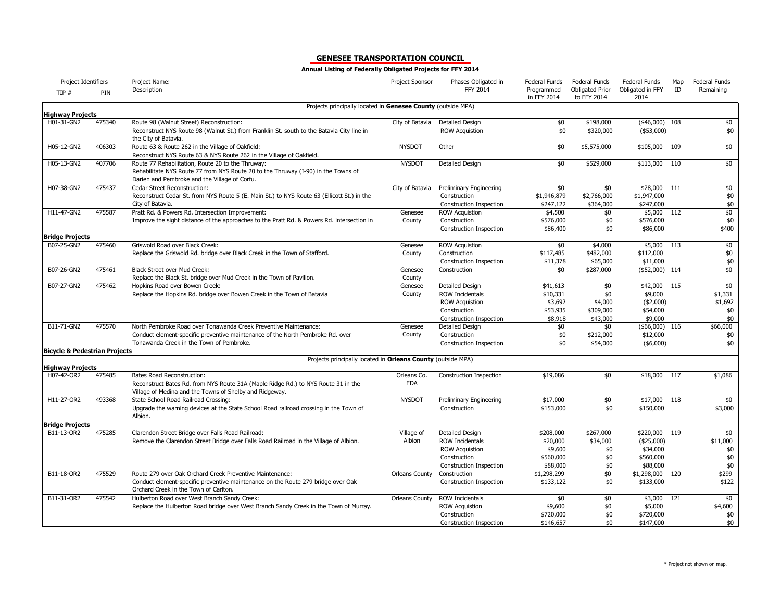| Project Identifiers                      |        | Project Name:                                                                                                                                                                                  | Project Sponsor           | Phases Obligated in                                                                                                  | Federal Funds                                             | Federal Funds                                  | Federal Funds                                                     | Map | Federal Funds                           |
|------------------------------------------|--------|------------------------------------------------------------------------------------------------------------------------------------------------------------------------------------------------|---------------------------|----------------------------------------------------------------------------------------------------------------------|-----------------------------------------------------------|------------------------------------------------|-------------------------------------------------------------------|-----|-----------------------------------------|
| TIP#                                     | PIN    | Description                                                                                                                                                                                    |                           | <b>FFY 2014</b>                                                                                                      | Programmed<br>in FFY 2014                                 | <b>Obligated Prior</b><br>to FFY 2014          | Obligated in FFY<br>2014                                          | ID  | Remaining                               |
| <b>Highway Projects</b>                  |        | Projects principally located in Genesee County (outside MPA)                                                                                                                                   |                           |                                                                                                                      |                                                           |                                                |                                                                   |     |                                         |
| H01-31-GN2                               | 475340 | Route 98 (Walnut Street) Reconstruction:                                                                                                                                                       | City of Batavia           | <b>Detailed Design</b>                                                                                               | \$0                                                       | \$198,000                                      | ( \$46,000)                                                       | 108 | \$0                                     |
|                                          |        | Reconstruct NYS Route 98 (Walnut St.) from Franklin St. south to the Batavia City line in<br>the City of Batavia.                                                                              |                           | <b>ROW Acquistion</b>                                                                                                | \$0                                                       | \$320,000                                      | (\$53,000)                                                        |     | \$0                                     |
| H05-12-GN2                               | 406303 | Route 63 & Route 262 in the Village of Oakfield:<br>Reconstruct NYS Route 63 & NYS Route 262 in the Village of Oakfield.                                                                       | <b>NYSDOT</b>             | Other                                                                                                                | \$0                                                       | \$5,575,000                                    | \$105,000                                                         | 109 | \$0                                     |
| H05-13-GN2                               | 407706 | Route 77 Rehabilitation, Route 20 to the Thruway:<br>Rehabilitate NYS Route 77 from NYS Route 20 to the Thruway (I-90) in the Towns of<br>Darien and Pembroke and the Village of Corfu.        | <b>NYSDOT</b>             | <b>Detailed Design</b>                                                                                               | \$0                                                       | \$529,000                                      | \$113,000 110                                                     |     | \$0                                     |
| H07-38-GN2                               | 475437 | Cedar Street Reconstruction:<br>Reconstruct Cedar St. from NYS Route 5 (E. Main St.) to NYS Route 63 (Ellicott St.) in the<br>City of Batavia.                                                 | City of Batavia           | Preliminary Engineering<br>Construction<br>Construction Inspection                                                   | \$0<br>\$1,946,879<br>\$247,122                           | \$0<br>\$2,766,000<br>\$364,000                | \$28,000 111<br>\$1,947,000<br>\$247,000                          |     | \$0<br>\$0<br>\$0                       |
| H11-47-GN2                               | 475587 | Pratt Rd. & Powers Rd. Intersection Improvement:                                                                                                                                               | Genesee                   | <b>ROW Acquistion</b>                                                                                                | \$4,500                                                   | \$0                                            | \$5,000                                                           | 112 | \$0                                     |
|                                          |        | Improve the sight distance of the approaches to the Pratt Rd. & Powers Rd. intersection in                                                                                                     | County                    | Construction<br>Construction Inspection                                                                              | \$576,000<br>\$86,400                                     | \$0<br>\$0                                     | \$576,000<br>\$86,000                                             |     | \$0<br>\$400                            |
| <b>Bridge Projects</b>                   |        |                                                                                                                                                                                                |                           |                                                                                                                      |                                                           |                                                |                                                                   |     |                                         |
| B07-25-GN2                               | 475460 | Griswold Road over Black Creek:<br>Replace the Griswold Rd. bridge over Black Creek in the Town of Stafford.                                                                                   | Genesee<br>County         | <b>ROW Acquistion</b><br>Construction<br>Construction Inspection                                                     | \$0<br>\$117,485<br>\$11,378                              | \$4,000<br>\$482,000<br>\$65,000               | \$5,000 113<br>\$112,000<br>\$11,000                              |     | \$0<br>\$0<br>\$0                       |
| B07-26-GN2                               | 475461 | Black Street over Mud Creek:<br>Replace the Black St. bridge over Mud Creek in the Town of Pavilion.                                                                                           | Genesee<br>County         | Construction                                                                                                         | \$0                                                       | \$287,000                                      | $($52,000)$ 114                                                   |     | \$0                                     |
| B07-27-GN2                               | 475462 | Hopkins Road over Bowen Creek:<br>Replace the Hopkins Rd. bridge over Bowen Creek in the Town of Batavia                                                                                       | Genesee<br>County         | <b>Detailed Design</b><br><b>ROW Incidentals</b><br><b>ROW Acquistion</b><br>Construction<br>Construction Inspection | \$41,613<br>\$10,331<br>\$3,692<br>\$53,935<br>\$8,918    | \$0<br>\$0<br>\$4,000<br>\$309,000<br>\$43,000 | \$42,000<br>\$9,000<br>$(*2,000)$<br>\$54,000<br>\$9,000          | 115 | \$0<br>\$1,331<br>\$1,692<br>\$0<br>\$0 |
| B11-71-GN2                               | 475570 | North Pembroke Road over Tonawanda Creek Preventive Maintenance:<br>Conduct element-specific preventive maintenance of the North Pembroke Rd. over<br>Tonawanda Creek in the Town of Pembroke. | Genesee<br>County         | Detailed Design<br>Construction<br>Construction Inspection                                                           | \$0<br>\$0<br>\$0                                         | \$0<br>\$212,000<br>\$54,000                   | ( \$66,000)<br>\$12,000<br>( \$6,000)                             | 116 | \$66,000<br>\$0<br>\$0                  |
| <b>Bicycle &amp; Pedestrian Projects</b> |        |                                                                                                                                                                                                |                           |                                                                                                                      |                                                           |                                                |                                                                   |     |                                         |
| <b>Highway Projects</b>                  |        | Projects principally located in Orleans County (outside MPA)                                                                                                                                   |                           |                                                                                                                      |                                                           |                                                |                                                                   |     |                                         |
| H07-42-OR2                               | 475485 | <b>Bates Road Reconstruction:</b><br>Reconstruct Bates Rd. from NYS Route 31A (Maple Ridge Rd.) to NYS Route 31 in the<br>Village of Medina and the Towns of Shelby and Ridgeway.              | Orleans Co.<br><b>EDA</b> | Construction Inspection                                                                                              | \$19,086                                                  | \$0                                            | \$18,000                                                          | 117 | \$1,086                                 |
| H11-27-OR2                               | 493368 | State School Road Railroad Crossing:<br>Upgrade the warning devices at the State School Road railroad crossing in the Town of<br>Albion.                                                       | <b>NYSDOT</b>             | Preliminary Engineering<br>Construction                                                                              | \$17,000<br>\$153,000                                     | \$0<br>\$0                                     | \$17,000 118<br>\$150,000                                         |     | \$0<br>\$3,000                          |
| <b>Bridge Projects</b>                   |        |                                                                                                                                                                                                |                           |                                                                                                                      |                                                           |                                                |                                                                   |     |                                         |
| B11-13-OR2                               | 475285 | Clarendon Street Bridge over Falls Road Railroad:<br>Remove the Clarendon Street Bridge over Falls Road Railroad in the Village of Albion.                                                     | Village of<br>Albion      | <b>Detailed Design</b><br><b>ROW Incidentals</b><br><b>ROW Acquistion</b><br>Construction<br>Construction Inspection | \$208,000<br>\$20,000<br>\$9,600<br>\$560,000<br>\$88,000 | \$267,000<br>\$34,000<br>\$0<br>\$0<br>\$0     | \$220,000 119<br>$(*25,000)$<br>\$34,000<br>\$560,000<br>\$88,000 |     | \$0<br>\$11,000<br>\$0<br>\$0<br>\$0    |
| B11-18-OR2                               | 475529 | Route 279 over Oak Orchard Creek Preventive Maintenance:<br>Conduct element-specific preventive maintenance on the Route 279 bridge over Oak<br>Orchard Creek in the Town of Carlton.          | <b>Orleans County</b>     | Construction<br>Construction Inspection                                                                              | \$1,298,299<br>\$133,122                                  | \$0<br>\$0                                     | \$1,298,000<br>\$133,000                                          | 120 | \$299<br>\$122                          |
| B11-31-OR2                               | 475542 | Hulberton Road over West Branch Sandy Creek:<br>Replace the Hulberton Road bridge over West Branch Sandy Creek in the Town of Murray.                                                          | Orleans County            | <b>ROW Incidentals</b><br><b>ROW Acquistion</b><br>Construction<br><b>Construction Inspection</b>                    | \$0<br>\$9,600<br>\$720,000<br>\$146,657                  | \$0<br>\$0<br>\$0<br>\$0                       | \$3,000<br>\$5,000<br>\$720,000<br>\$147,000                      | 121 | \$0<br>\$4,600<br>\$0<br>\$0            |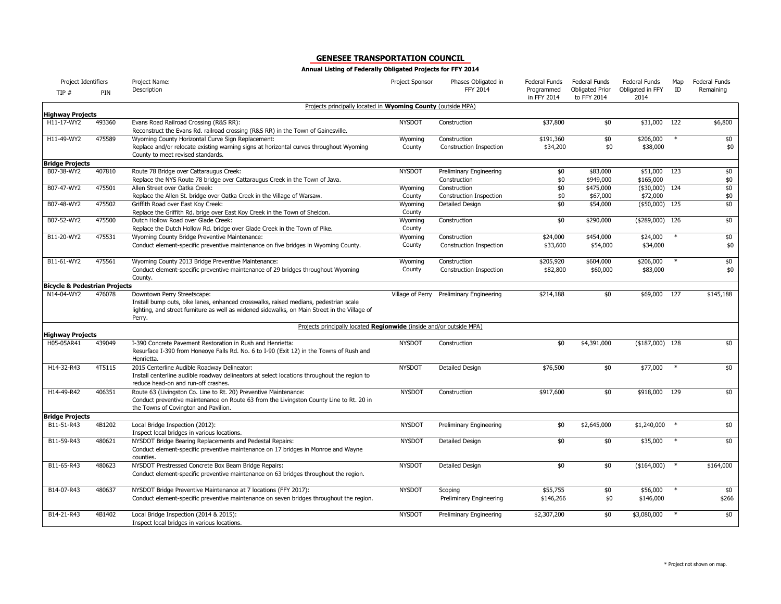| Project Identifiers                      |        | Project Name:                                                                                                                                                                                                                  | Project Sponsor   | Phases Obligated in                | Federal Funds             | Federal Funds                         | Federal Funds            | Map    | Federal Funds |
|------------------------------------------|--------|--------------------------------------------------------------------------------------------------------------------------------------------------------------------------------------------------------------------------------|-------------------|------------------------------------|---------------------------|---------------------------------------|--------------------------|--------|---------------|
| TIP#                                     | PIN    | Description                                                                                                                                                                                                                    |                   | FFY 2014                           | Programmed<br>in FFY 2014 | <b>Obligated Prior</b><br>to FFY 2014 | Obligated in FFY<br>2014 | ID     | Remaining     |
| <b>Highway Projects</b>                  |        | Projects principally located in Wyoming County (outside MPA)                                                                                                                                                                   |                   |                                    |                           |                                       |                          |        |               |
| H11-17-WY2                               | 493360 | Evans Road Railroad Crossing (R&S RR):<br>Reconstruct the Evans Rd. railroad crossing (R&S RR) in the Town of Gainesville.                                                                                                     | <b>NYSDOT</b>     | Construction                       | \$37,800                  | \$0                                   | \$31,000                 | 122    | \$6,800       |
| H11-49-WY2                               | 475589 | Wyoming County Horizontal Curve Sign Replacement:                                                                                                                                                                              | Wyoming           | Construction                       | \$191,360                 | \$0                                   | \$206,000                |        | \$0           |
|                                          |        | Replace and/or relocate existing warning signs at horizontal curves throughout Wyoming<br>County to meet revised standards.                                                                                                    | County            | Construction Inspection            | \$34,200                  | \$0                                   | \$38,000                 |        | \$0           |
| <b>Bridge Projects</b>                   |        |                                                                                                                                                                                                                                |                   |                                    |                           |                                       |                          |        |               |
| B07-38-WY2                               | 407810 | Route 78 Bridge over Cattaraugus Creek:                                                                                                                                                                                        | <b>NYSDOT</b>     | Preliminary Engineering            | \$0                       | \$83,000                              | \$51,000                 | 123    | \$0           |
|                                          |        | Replace the NYS Route 78 bridge over Cattaraugus Creek in the Town of Java.                                                                                                                                                    |                   | Construction                       | \$0                       | \$949,000                             | \$165,000                |        | \$0           |
| B07-47-WY2                               | 475501 | Allen Street over Oatka Creek:                                                                                                                                                                                                 | Wyoming           | Construction                       | \$0                       | \$475,000                             | $($30,000)$ 124          |        | \$0           |
|                                          |        | Replace the Allen St. bridge over Oatka Creek in the Village of Warsaw.                                                                                                                                                        | County            | <b>Construction Inspection</b>     | \$0                       | \$67,000                              | \$72,000                 |        | \$0           |
| B07-48-WY2                               | 475502 | Griffith Road over East Koy Creek:                                                                                                                                                                                             | Wyoming           | Detailed Design                    | \$0                       | \$54,000                              | $($50,000)$ 125          |        | \$0           |
|                                          |        | Replace the Griffith Rd. brige over East Koy Creek in the Town of Sheldon.                                                                                                                                                     | County            |                                    |                           |                                       |                          |        |               |
| B07-52-WY2                               | 475500 | Dutch Hollow Road over Glade Creek:                                                                                                                                                                                            | Wyoming           | Construction                       | \$0                       | \$290,000                             | (\$289,000) 126          |        | \$0           |
| B11-20-WY2                               | 475531 | Replace the Dutch Hollow Rd. bridge over Glade Creek in the Town of Pike.                                                                                                                                                      | County            |                                    |                           |                                       |                          |        |               |
|                                          |        | Wyoming County Bridge Preventive Maintenance:                                                                                                                                                                                  | Wyoming<br>County | Construction                       | \$24,000<br>\$33,600      | \$454,000                             | \$24,000<br>\$34,000     |        | \$0<br>\$0    |
|                                          |        | Conduct element-specific preventive maintenance on five bridges in Wyoming County.                                                                                                                                             |                   | Construction Inspection            |                           | \$54,000                              |                          |        |               |
| B11-61-WY2                               | 475561 | Wyoming County 2013 Bridge Preventive Maintenance:                                                                                                                                                                             | Wyoming           | Construction                       | \$205,920                 | \$604,000                             | \$206,000                |        | \$0           |
|                                          |        | Conduct element-specific preventive maintenance of 29 bridges throughout Wyoming<br>County.                                                                                                                                    | County            | Construction Inspection            | \$82,800                  | \$60,000                              | \$83,000                 |        | \$0           |
| <b>Bicycle &amp; Pedestrian Projects</b> |        |                                                                                                                                                                                                                                |                   |                                    |                           |                                       |                          |        |               |
| N14-04-WY2                               | 476078 | Downtown Perry Streetscape:<br>Install bump outs, bike lanes, enhanced crosswalks, raised medians, pedestrian scale<br>lighting, and street furniture as well as widened sidewalks, on Main Street in the Village of<br>Perry. | Village of Perry  | Preliminary Engineering            | \$214,188                 | \$0                                   | \$69,000                 | 127    | \$145,188     |
| <b>Highway Projects</b>                  |        | Projects principally located Regionwide (inside and/or outside MPA)                                                                                                                                                            |                   |                                    |                           |                                       |                          |        |               |
| H05-05AR41                               | 439049 | I-390 Concrete Pavement Restoration in Rush and Henrietta:<br>Resurface I-390 from Honeoye Falls Rd. No. 6 to I-90 (Exit 12) in the Towns of Rush and<br>Henrietta.                                                            | <b>NYSDOT</b>     | Construction                       | \$0                       | \$4,391,000                           | $($187,000)$ 128         |        | \$0           |
| H14-32-R43                               | 4T5115 | 2015 Centerline Audible Roadway Delineator:<br>Install centerline audible roadway delineators at select locations throughout the region to                                                                                     | <b>NYSDOT</b>     | Detailed Design                    | \$76,500                  | \$0                                   | \$77,000                 |        | \$0           |
|                                          |        | reduce head-on and run-off crashes.                                                                                                                                                                                            |                   |                                    |                           |                                       |                          |        |               |
| H14-49-R42                               | 406351 | Route 63 (Livingston Co. Line to Rt. 20) Preventive Maintenance:<br>Conduct preventive maintenance on Route 63 from the Livingston County Line to Rt. 20 in<br>the Towns of Covington and Pavilion.                            | <b>NYSDOT</b>     | Construction                       | \$917,600                 | \$0                                   | \$918,000                | 129    | \$0           |
| <b>Bridge Projects</b>                   |        |                                                                                                                                                                                                                                |                   |                                    |                           |                                       |                          |        |               |
| B11-51-R43                               | 4B1202 | Local Bridge Inspection (2012):<br>Inspect local bridges in various locations.                                                                                                                                                 | <b>NYSDOT</b>     | Preliminary Engineering            | \$0                       | \$2,645,000                           | \$1,240,000              |        | \$0           |
| B11-59-R43                               | 480621 | NYSDOT Bridge Bearing Replacements and Pedestal Repairs:<br>Conduct element-specific preventive maintenance on 17 bridges in Monroe and Wayne<br>counties.                                                                     | <b>NYSDOT</b>     | Detailed Design                    | \$0                       | \$0                                   | \$35,000                 |        | \$0           |
| B11-65-R43                               | 480623 | NYSDOT Prestressed Concrete Box Beam Bridge Repairs:<br>Conduct element-specific preventive maintenance on 63 bridges throughout the region.                                                                                   | <b>NYSDOT</b>     | Detailed Design                    | \$0                       | \$0                                   | (\$164,000)              | $\ast$ | \$164,000     |
| B14-07-R43                               | 480637 | NYSDOT Bridge Preventive Maintenance at 7 locations (FFY 2017):<br>Conduct element-specific preventive maintenance on seven bridges throughout the region.                                                                     | <b>NYSDOT</b>     | Scoping<br>Preliminary Engineering | \$55,755<br>\$146,266     | \$0<br>\$0                            | \$56,000<br>\$146,000    |        | \$0<br>\$266  |
| B14-21-R43                               | 4B1402 | Local Bridge Inspection (2014 & 2015):<br>Inspect local bridges in various locations.                                                                                                                                          | <b>NYSDOT</b>     | Preliminary Engineering            | \$2,307,200               | \$0                                   | \$3,080,000              |        | \$0           |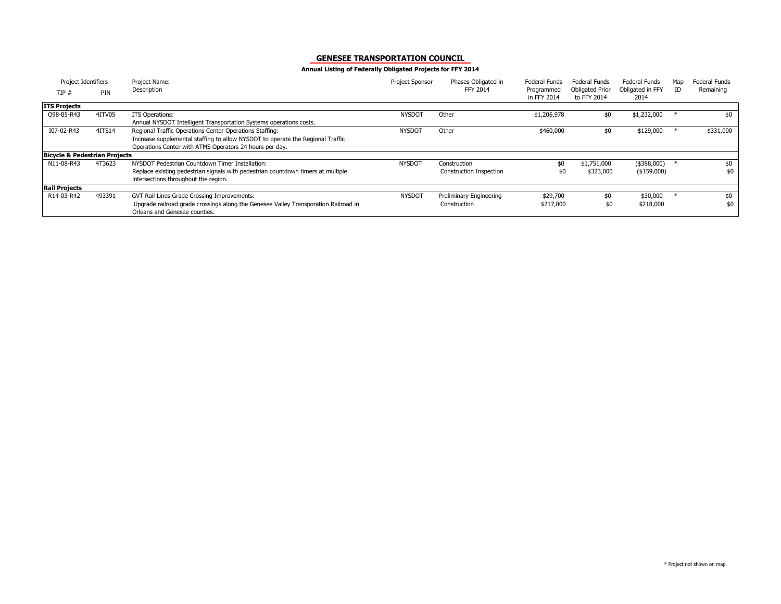| Project Identifiers                      |        | Project Name:                                                                                                            | Project Sponsor | Phases Obligated in            | Federal Funds             | Federal Funds                         | Federal Funds            | Map | Federal Funds |
|------------------------------------------|--------|--------------------------------------------------------------------------------------------------------------------------|-----------------|--------------------------------|---------------------------|---------------------------------------|--------------------------|-----|---------------|
| TIP#                                     | PIN    | Description                                                                                                              |                 | <b>FFY 2014</b>                | Programmed<br>in FFY 2014 | <b>Obligated Prior</b><br>to FFY 2014 | Obligated in FFY<br>2014 | ID  | Remaining     |
| <b>ITS Projects</b>                      |        |                                                                                                                          |                 |                                |                           |                                       |                          |     |               |
| O98-05-R43                               | 4ITV05 | ITS Operations:                                                                                                          | <b>NYSDOT</b>   | Other                          | \$1,206,978               | \$0                                   | \$1,232,000              |     | \$0           |
|                                          |        | Annual NYSDOT Intelligent Transportation Systems operations costs.                                                       |                 |                                |                           |                                       |                          |     |               |
| I07-02-R43                               | 4ITS14 | Regional Traffic Operations Center Operations Staffing:                                                                  | <b>NYSDOT</b>   | Other                          | \$460,000                 | \$0                                   | \$129,000                |     | \$331,000     |
|                                          |        | Increase supplemental staffing to allow NYSDOT to operate the Regional Traffic                                           |                 |                                |                           |                                       |                          |     |               |
|                                          |        | Operations Center with ATMS Operators 24 hours per day.                                                                  |                 |                                |                           |                                       |                          |     |               |
| <b>Bicycle &amp; Pedestrian Projects</b> |        |                                                                                                                          |                 |                                |                           |                                       |                          |     |               |
| N11-08-R43                               | 4T3623 | NYSDOT Pedestrian Countdown Timer Installation:                                                                          | <b>NYSDOT</b>   | Construction                   | \$0                       | \$1,751,000                           | (\$388,000)              |     | \$0           |
|                                          |        | Replace existing pedestrian signals with pedestrian countdown timers at multiple<br>intersections throughout the region. |                 | <b>Construction Inspection</b> |                           | \$323,000                             | (\$159,000)              |     | \$0           |
| <b>Rail Projects</b>                     |        |                                                                                                                          |                 |                                |                           |                                       |                          |     |               |
|                                          |        |                                                                                                                          |                 |                                |                           |                                       |                          |     |               |
| R14-03-R42                               | 493391 | GVT Rail Lines Grade Crossing Improvements:                                                                              | <b>NYSDOT</b>   | Preliminary Engineering        | \$29,700                  | \$0                                   | \$30,000                 |     | \$0           |
|                                          |        | Upgrade railroad grade crossings along the Genesee Valley Transporation Railroad in                                      |                 | Construction                   | \$217,800                 | \$0                                   | \$218,000                |     | \$0           |
|                                          |        | Orleans and Genesee counties.                                                                                            |                 |                                |                           |                                       |                          |     |               |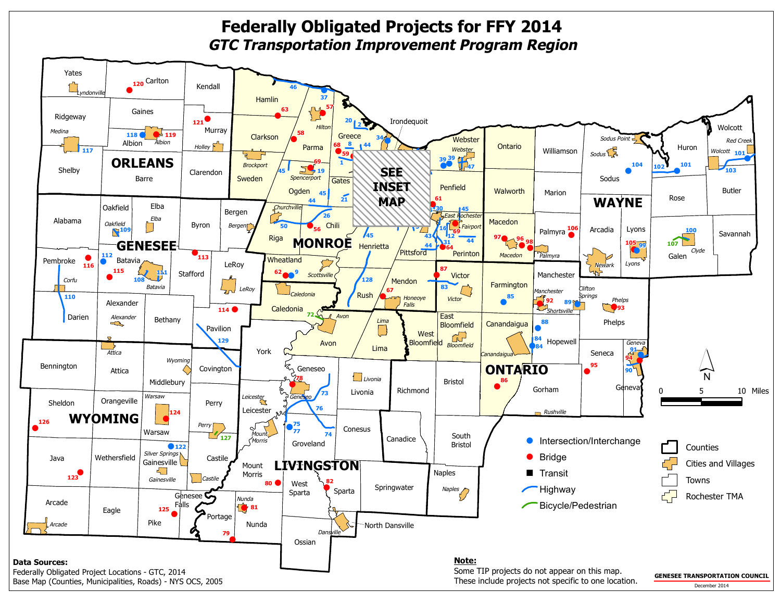